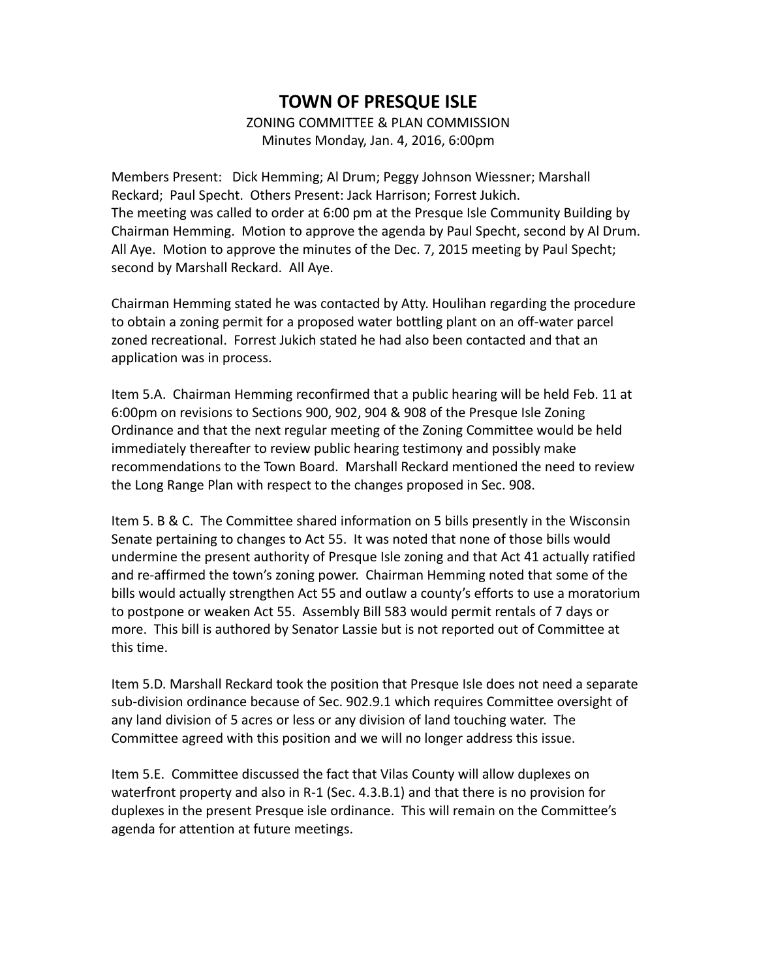## ZONING COMMITTEE & PLAN COMMISSION Minutes Monday, Jan. 4, 2016, 6:00pm

Members Present: Dick Hemming; Al Drum; Peggy Johnson Wiessner; Marshall Reckard; Paul Specht. Others Present: Jack Harrison; Forrest Jukich. The meeting was called to order at 6:00 pm at the Presque Isle Community Building by Chairman Hemming. Motion to approve the agenda by Paul Specht, second by Al Drum. All Aye. Motion to approve the minutes of the Dec. 7, 2015 meeting by Paul Specht; second by Marshall Reckard. All Aye.

Chairman Hemming stated he was contacted by Atty. Houlihan regarding the procedure to obtain a zoning permit for a proposed water bottling plant on an off-water parcel zoned recreational. Forrest Jukich stated he had also been contacted and that an application was in process.

Item 5.A. Chairman Hemming reconfirmed that a public hearing will be held Feb. 11 at 6:00pm on revisions to Sections 900, 902, 904 & 908 of the Presque Isle Zoning Ordinance and that the next regular meeting of the Zoning Committee would be held immediately thereafter to review public hearing testimony and possibly make recommendations to the Town Board. Marshall Reckard mentioned the need to review the Long Range Plan with respect to the changes proposed in Sec. 908.

Item 5. B & C. The Committee shared information on 5 bills presently in the Wisconsin Senate pertaining to changes to Act 55. It was noted that none of those bills would undermine the present authority of Presque Isle zoning and that Act 41 actually ratified and re-affirmed the town's zoning power. Chairman Hemming noted that some of the bills would actually strengthen Act 55 and outlaw a county's efforts to use a moratorium to postpone or weaken Act 55. Assembly Bill 583 would permit rentals of 7 days or more. This bill is authored by Senator Lassie but is not reported out of Committee at this time.

Item 5.D. Marshall Reckard took the position that Presque Isle does not need a separate sub-division ordinance because of Sec. 902.9.1 which requires Committee oversight of any land division of 5 acres or less or any division of land touching water. The Committee agreed with this position and we will no longer address this issue.

Item 5.E. Committee discussed the fact that Vilas County will allow duplexes on waterfront property and also in R-1 (Sec. 4.3.B.1) and that there is no provision for duplexes in the present Presque isle ordinance. This will remain on the Committee's agenda for attention at future meetings.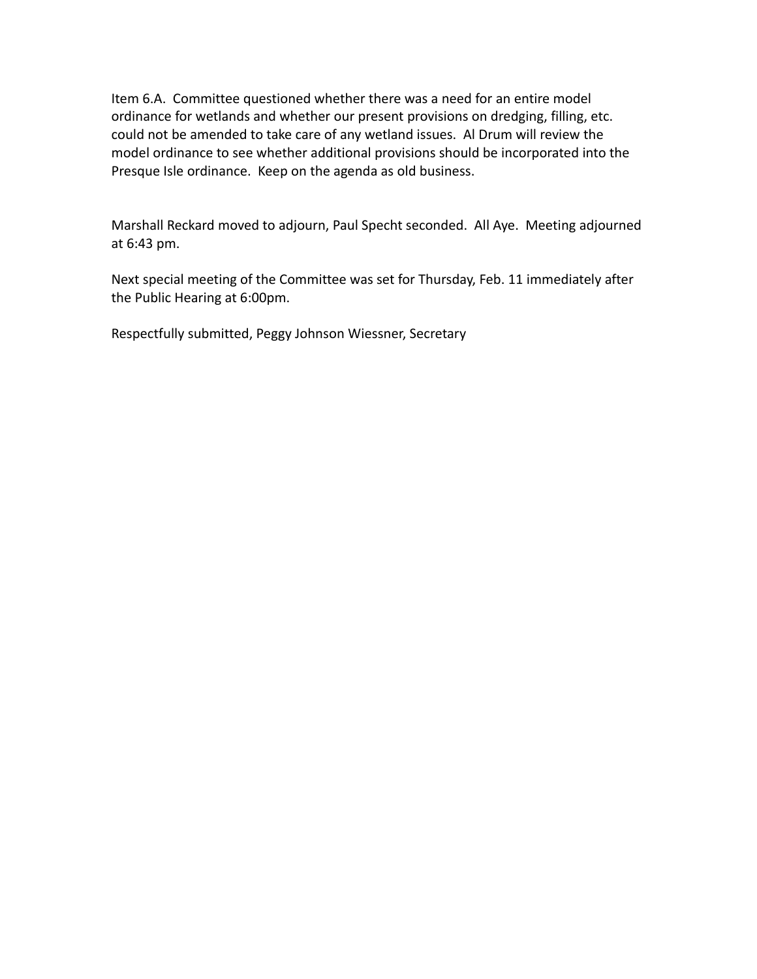Item 6.A. Committee questioned whether there was a need for an entire model ordinance for wetlands and whether our present provisions on dredging, filling, etc. could not be amended to take care of any wetland issues. Al Drum will review the model ordinance to see whether additional provisions should be incorporated into the Presque Isle ordinance. Keep on the agenda as old business.

Marshall Reckard moved to adjourn, Paul Specht seconded. All Aye. Meeting adjourned at 6:43 pm.

Next special meeting of the Committee was set for Thursday, Feb. 11 immediately after the Public Hearing at 6:00pm.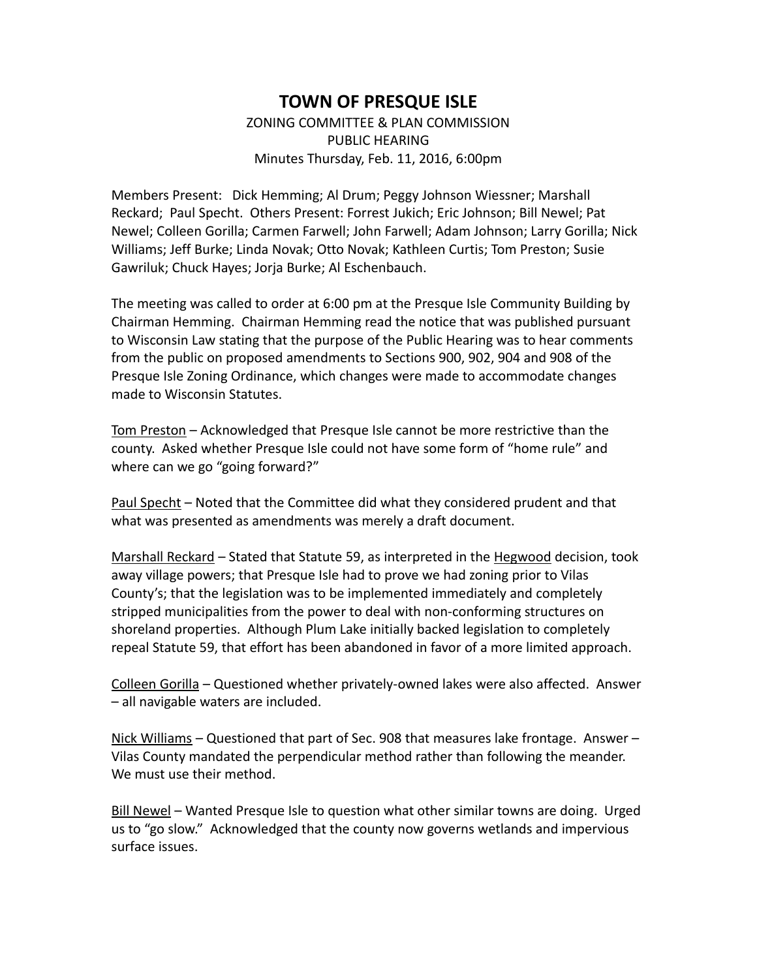ZONING COMMITTEE & PLAN COMMISSION PUBLIC HEARING Minutes Thursday, Feb. 11, 2016, 6:00pm

Members Present: Dick Hemming; Al Drum; Peggy Johnson Wiessner; Marshall Reckard; Paul Specht. Others Present: Forrest Jukich; Eric Johnson; Bill Newel; Pat Newel; Colleen Gorilla; Carmen Farwell; John Farwell; Adam Johnson; Larry Gorilla; Nick Williams; Jeff Burke; Linda Novak; Otto Novak; Kathleen Curtis; Tom Preston; Susie Gawriluk; Chuck Hayes; Jorja Burke; Al Eschenbauch.

The meeting was called to order at 6:00 pm at the Presque Isle Community Building by Chairman Hemming. Chairman Hemming read the notice that was published pursuant to Wisconsin Law stating that the purpose of the Public Hearing was to hear comments from the public on proposed amendments to Sections 900, 902, 904 and 908 of the Presque Isle Zoning Ordinance, which changes were made to accommodate changes made to Wisconsin Statutes.

Tom Preston – Acknowledged that Presque Isle cannot be more restrictive than the county. Asked whether Presque Isle could not have some form of "home rule" and where can we go "going forward?"

Paul Specht - Noted that the Committee did what they considered prudent and that what was presented as amendments was merely a draft document.

Marshall Reckard - Stated that Statute 59, as interpreted in the Hegwood decision, took away village powers; that Presque Isle had to prove we had zoning prior to Vilas County's; that the legislation was to be implemented immediately and completely stripped municipalities from the power to deal with non-conforming structures on shoreland properties. Although Plum Lake initially backed legislation to completely repeal Statute 59, that effort has been abandoned in favor of a more limited approach.

Colleen Gorilla – Questioned whether privately-owned lakes were also affected. Answer – all navigable waters are included.

Nick Williams – Questioned that part of Sec. 908 that measures lake frontage. Answer – Vilas County mandated the perpendicular method rather than following the meander. We must use their method.

Bill Newel – Wanted Presque Isle to question what other similar towns are doing. Urged us to "go slow." Acknowledged that the county now governs wetlands and impervious surface issues.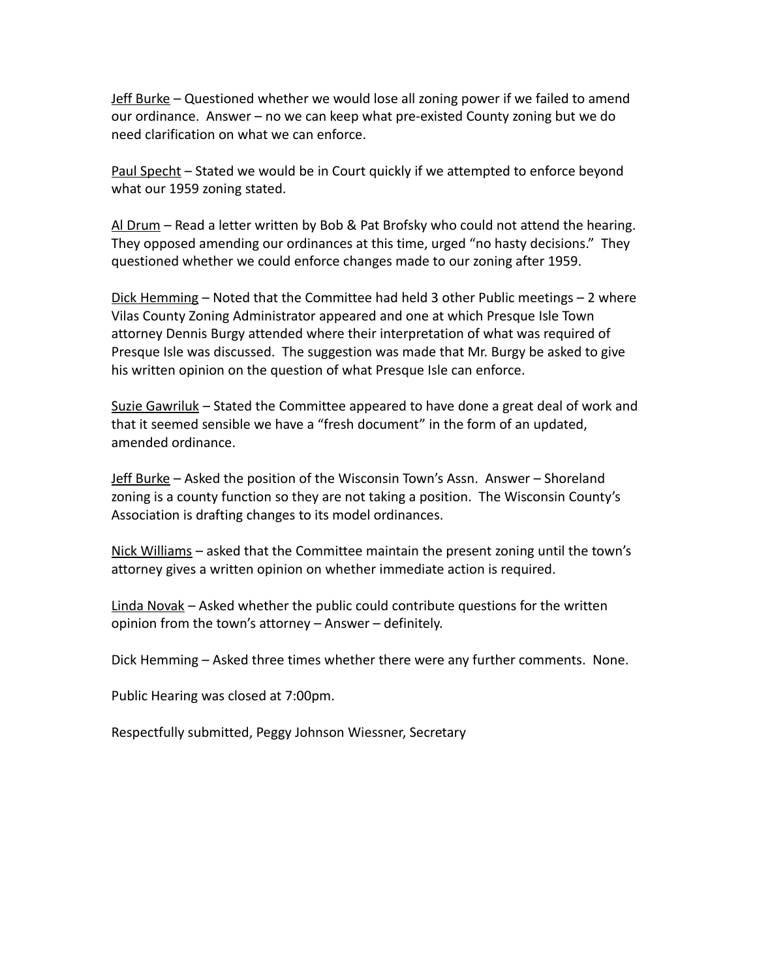Jeff Burke – Questioned whether we would lose all zoning power if we failed to amend our ordinance. Answer – no we can keep what pre-existed County zoning but we do need clarification on what we can enforce.

Paul Specht – Stated we would be in Court quickly if we attempted to enforce beyond what our 1959 zoning stated.

Al Drum – Read a letter written by Bob & Pat Brofsky who could not attend the hearing. They opposed amending our ordinances at this time, urged "no hasty decisions." They questioned whether we could enforce changes made to our zoning after 1959.

Dick Hemming – Noted that the Committee had held 3 other Public meetings – 2 where Vilas County Zoning Administrator appeared and one at which Presque Isle Town attorney Dennis Burgy attended where their interpretation of what was required of Presque Isle was discussed. The suggestion was made that Mr. Burgy be asked to give his written opinion on the question of what Presque Isle can enforce.

Suzie Gawriluk – Stated the Committee appeared to have done a great deal of work and that it seemed sensible we have a "fresh document" in the form of an updated, amended ordinance.

Jeff Burke – Asked the position of the Wisconsin Town's Assn. Answer – Shoreland zoning is a county function so they are not taking a position. The Wisconsin County's Association is drafting changes to its model ordinances.

Nick Williams – asked that the Committee maintain the present zoning until the town's attorney gives a written opinion on whether immediate action is required.

Linda Novak – Asked whether the public could contribute questions for the written opinion from the town's attorney – Answer – definitely.

Dick Hemming – Asked three times whether there were any further comments. None.

Public Hearing was closed at 7:00pm.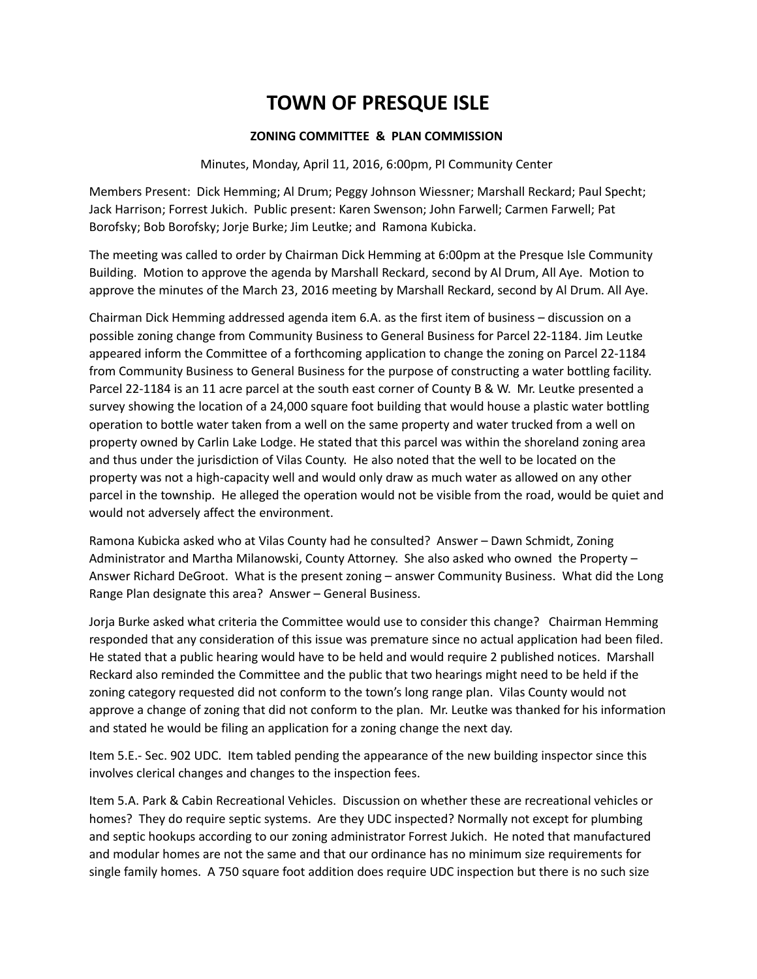### **ZONING COMMITTEE & PLAN COMMISSION**

Minutes, Monday, April 11, 2016, 6:00pm, PI Community Center

Members Present: Dick Hemming; Al Drum; Peggy Johnson Wiessner; Marshall Reckard; Paul Specht; Jack Harrison; Forrest Jukich. Public present: Karen Swenson; John Farwell; Carmen Farwell; Pat Borofsky; Bob Borofsky; Jorje Burke; Jim Leutke; and Ramona Kubicka.

The meeting was called to order by Chairman Dick Hemming at 6:00pm at the Presque Isle Community Building. Motion to approve the agenda by Marshall Reckard, second by Al Drum, All Aye. Motion to approve the minutes of the March 23, 2016 meeting by Marshall Reckard, second by Al Drum. All Aye.

Chairman Dick Hemming addressed agenda item 6.A. as the first item of business – discussion on a possible zoning change from Community Business to General Business for Parcel 22-1184. Jim Leutke appeared inform the Committee of a forthcoming application to change the zoning on Parcel 22-1184 from Community Business to General Business for the purpose of constructing a water bottling facility. Parcel 22-1184 is an 11 acre parcel at the south east corner of County B & W. Mr. Leutke presented a survey showing the location of a 24,000 square foot building that would house a plastic water bottling operation to bottle water taken from a well on the same property and water trucked from a well on property owned by Carlin Lake Lodge. He stated that this parcel was within the shoreland zoning area and thus under the jurisdiction of Vilas County. He also noted that the well to be located on the property was not a high-capacity well and would only draw as much water as allowed on any other parcel in the township. He alleged the operation would not be visible from the road, would be quiet and would not adversely affect the environment.

Ramona Kubicka asked who at Vilas County had he consulted? Answer – Dawn Schmidt, Zoning Administrator and Martha Milanowski, County Attorney. She also asked who owned the Property – Answer Richard DeGroot. What is the present zoning – answer Community Business. What did the Long Range Plan designate this area? Answer – General Business.

Jorja Burke asked what criteria the Committee would use to consider this change? Chairman Hemming responded that any consideration of this issue was premature since no actual application had been filed. He stated that a public hearing would have to be held and would require 2 published notices. Marshall Reckard also reminded the Committee and the public that two hearings might need to be held if the zoning category requested did not conform to the town's long range plan. Vilas County would not approve a change of zoning that did not conform to the plan. Mr. Leutke was thanked for his information and stated he would be filing an application for a zoning change the next day.

Item 5.E.- Sec. 902 UDC. Item tabled pending the appearance of the new building inspector since this involves clerical changes and changes to the inspection fees.

Item 5.A. Park & Cabin Recreational Vehicles. Discussion on whether these are recreational vehicles or homes? They do require septic systems. Are they UDC inspected? Normally not except for plumbing and septic hookups according to our zoning administrator Forrest Jukich. He noted that manufactured and modular homes are not the same and that our ordinance has no minimum size requirements for single family homes. A 750 square foot addition does require UDC inspection but there is no such size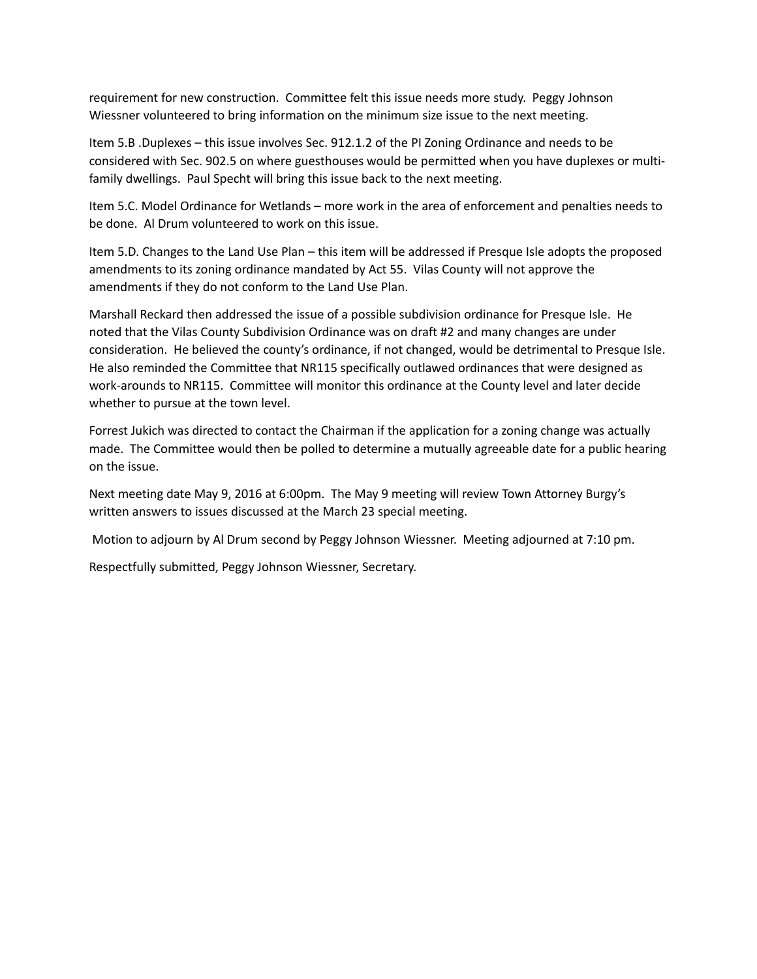requirement for new construction. Committee felt this issue needs more study. Peggy Johnson Wiessner volunteered to bring information on the minimum size issue to the next meeting.

Item 5.B .Duplexes – this issue involves Sec. 912.1.2 of the PI Zoning Ordinance and needs to be considered with Sec. 902.5 on where guesthouses would be permitted when you have duplexes or multifamily dwellings. Paul Specht will bring this issue back to the next meeting.

Item 5.C. Model Ordinance for Wetlands – more work in the area of enforcement and penalties needs to be done. Al Drum volunteered to work on this issue.

Item 5.D. Changes to the Land Use Plan – this item will be addressed if Presque Isle adopts the proposed amendments to its zoning ordinance mandated by Act 55. Vilas County will not approve the amendments if they do not conform to the Land Use Plan.

Marshall Reckard then addressed the issue of a possible subdivision ordinance for Presque Isle. He noted that the Vilas County Subdivision Ordinance was on draft #2 and many changes are under consideration. He believed the county's ordinance, if not changed, would be detrimental to Presque Isle. He also reminded the Committee that NR115 specifically outlawed ordinances that were designed as work-arounds to NR115. Committee will monitor this ordinance at the County level and later decide whether to pursue at the town level.

Forrest Jukich was directed to contact the Chairman if the application for a zoning change was actually made. The Committee would then be polled to determine a mutually agreeable date for a public hearing on the issue.

Next meeting date May 9, 2016 at 6:00pm. The May 9 meeting will review Town Attorney Burgy's written answers to issues discussed at the March 23 special meeting.

Motion to adjourn by Al Drum second by Peggy Johnson Wiessner. Meeting adjourned at 7:10 pm.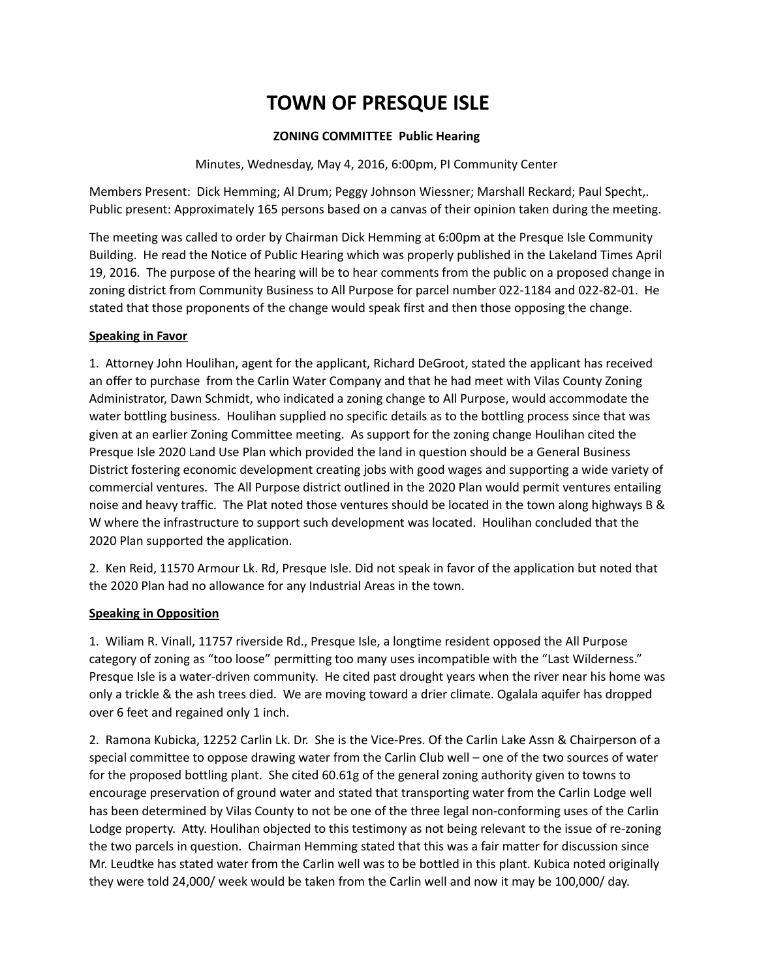### **ZONING COMMITTEE Public Hearing**

Minutes, Wednesday, May 4, 2016, 6:00pm, PI Community Center

Members Present: Dick Hemming; Al Drum; Peggy Johnson Wiessner; Marshall Reckard; Paul Specht,. Public present: Approximately 165 persons based on a canvas of their opinion taken during the meeting.

The meeting was called to order by Chairman Dick Hemming at 6:00pm at the Presque Isle Community Building. He read the Notice of Public Hearing which was properly published in the Lakeland Times April 19, 2016. The purpose of the hearing will be to hear comments from the public on a proposed change in zoning district from Community Business to All Purpose for parcel number 022-1184 and 022-82-01. He stated that those proponents of the change would speak first and then those opposing the change.

### **Speaking in Favor**

1. Attorney John Houlihan, agent for the applicant, Richard DeGroot, stated the applicant has received an offer to purchase from the Carlin Water Company and that he had meet with Vilas County Zoning Administrator, Dawn Schmidt, who indicated a zoning change to All Purpose, would accommodate the water bottling business. Houlihan supplied no specific details as to the bottling process since that was given at an earlier Zoning Committee meeting. As support for the zoning change Houlihan cited the Presque Isle 2020 Land Use Plan which provided the land in question should be a General Business District fostering economic development creating jobs with good wages and supporting a wide variety of commercial ventures. The All Purpose district outlined in the 2020 Plan would permit ventures entailing noise and heavy traffic. The Plat noted those ventures should be located in the town along highways B & W where the infrastructure to support such development was located. Houlihan concluded that the 2020 Plan supported the application.

2. Ken Reid, 11570 Armour Lk. Rd, Presque Isle. Did not speak in favor of the application but noted that the 2020 Plan had no allowance for any Industrial Areas in the town.

### **Speaking in Opposition**

1. Wiliam R. Vinall, 11757 riverside Rd., Presque Isle, a longtime resident opposed the All Purpose category of zoning as "too loose" permitting too many uses incompatible with the "Last Wilderness." Presque Isle is a water-driven community. He cited past drought years when the river near his home was only a trickle & the ash trees died. We are moving toward a drier climate. Ogalala aquifer has dropped over 6 feet and regained only 1 inch.

2. Ramona Kubicka, 12252 Carlin Lk. Dr. She is the Vice-Pres. Of the Carlin Lake Assn & Chairperson of a special committee to oppose drawing water from the Carlin Club well – one of the two sources of water for the proposed bottling plant. She cited 60.61g of the general zoning authority given to towns to encourage preservation of ground water and stated that transporting water from the Carlin Lodge well has been determined by Vilas County to not be one of the three legal non-conforming uses of the Carlin Lodge property. Atty. Houlihan objected to this testimony as not being relevant to the issue of re-zoning the two parcels in question. Chairman Hemming stated that this was a fair matter for discussion since Mr. Leudtke has stated water from the Carlin well was to be bottled in this plant. Kubica noted originally they were told 24,000/ week would be taken from the Carlin well and now it may be 100,000/ day.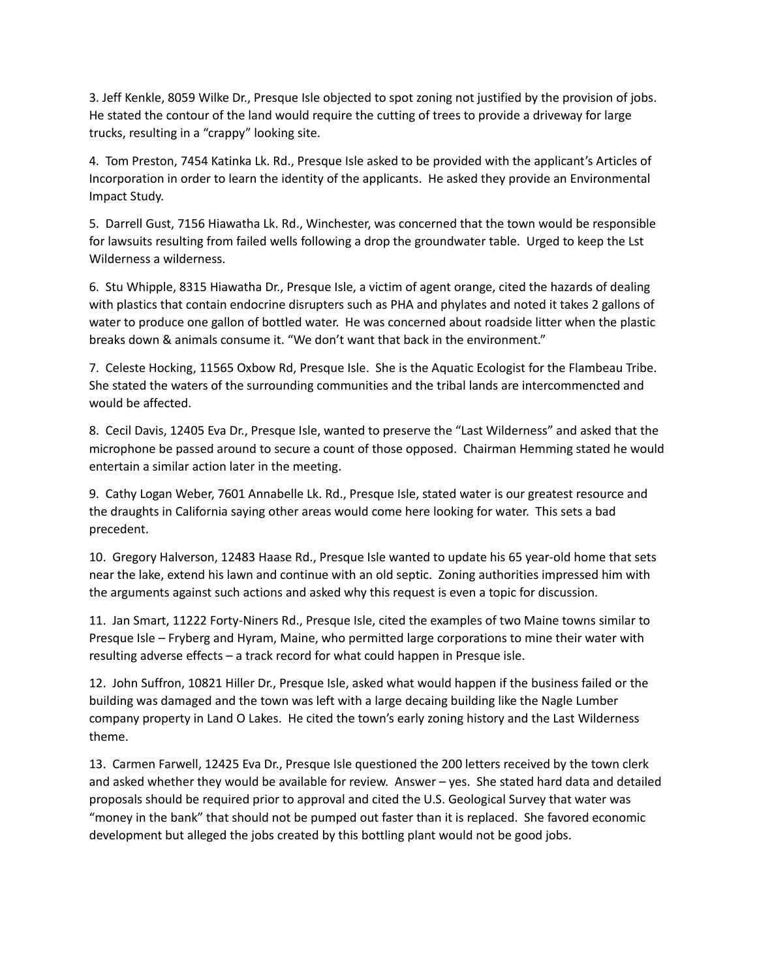3. Jeff Kenkle, 8059 Wilke Dr., Presque Isle objected to spot zoning not justified by the provision of jobs. He stated the contour of the land would require the cutting of trees to provide a driveway for large trucks, resulting in a "crappy" looking site.

4. Tom Preston, 7454 Katinka Lk. Rd., Presque Isle asked to be provided with the applicant's Articles of Incorporation in order to learn the identity of the applicants. He asked they provide an Environmental Impact Study.

5. Darrell Gust, 7156 Hiawatha Lk. Rd., Winchester, was concerned that the town would be responsible for lawsuits resulting from failed wells following a drop the groundwater table. Urged to keep the Lst Wilderness a wilderness.

6. Stu Whipple, 8315 Hiawatha Dr., Presque Isle, a victim of agent orange, cited the hazards of dealing with plastics that contain endocrine disrupters such as PHA and phylates and noted it takes 2 gallons of water to produce one gallon of bottled water. He was concerned about roadside litter when the plastic breaks down & animals consume it. "We don't want that back in the environment."

7. Celeste Hocking, 11565 Oxbow Rd, Presque Isle. She is the Aquatic Ecologist for the Flambeau Tribe. She stated the waters of the surrounding communities and the tribal lands are intercommencted and would be affected.

8. Cecil Davis, 12405 Eva Dr., Presque Isle, wanted to preserve the "Last Wilderness" and asked that the microphone be passed around to secure a count of those opposed. Chairman Hemming stated he would entertain a similar action later in the meeting.

9. Cathy Logan Weber, 7601 Annabelle Lk. Rd., Presque Isle, stated water is our greatest resource and the draughts in California saying other areas would come here looking for water. This sets a bad precedent.

10. Gregory Halverson, 12483 Haase Rd., Presque Isle wanted to update his 65 year-old home that sets near the lake, extend his lawn and continue with an old septic. Zoning authorities impressed him with the arguments against such actions and asked why this request is even a topic for discussion.

11. Jan Smart, 11222 Forty-Niners Rd., Presque Isle, cited the examples of two Maine towns similar to Presque Isle – Fryberg and Hyram, Maine, who permitted large corporations to mine their water with resulting adverse effects – a track record for what could happen in Presque isle.

12. John Suffron, 10821 Hiller Dr., Presque Isle, asked what would happen if the business failed or the building was damaged and the town was left with a large decaing building like the Nagle Lumber company property in Land O Lakes. He cited the town's early zoning history and the Last Wilderness theme.

13. Carmen Farwell, 12425 Eva Dr., Presque Isle questioned the 200 letters received by the town clerk and asked whether they would be available for review. Answer – yes. She stated hard data and detailed proposals should be required prior to approval and cited the U.S. Geological Survey that water was "money in the bank" that should not be pumped out faster than it is replaced. She favored economic development but alleged the jobs created by this bottling plant would not be good jobs.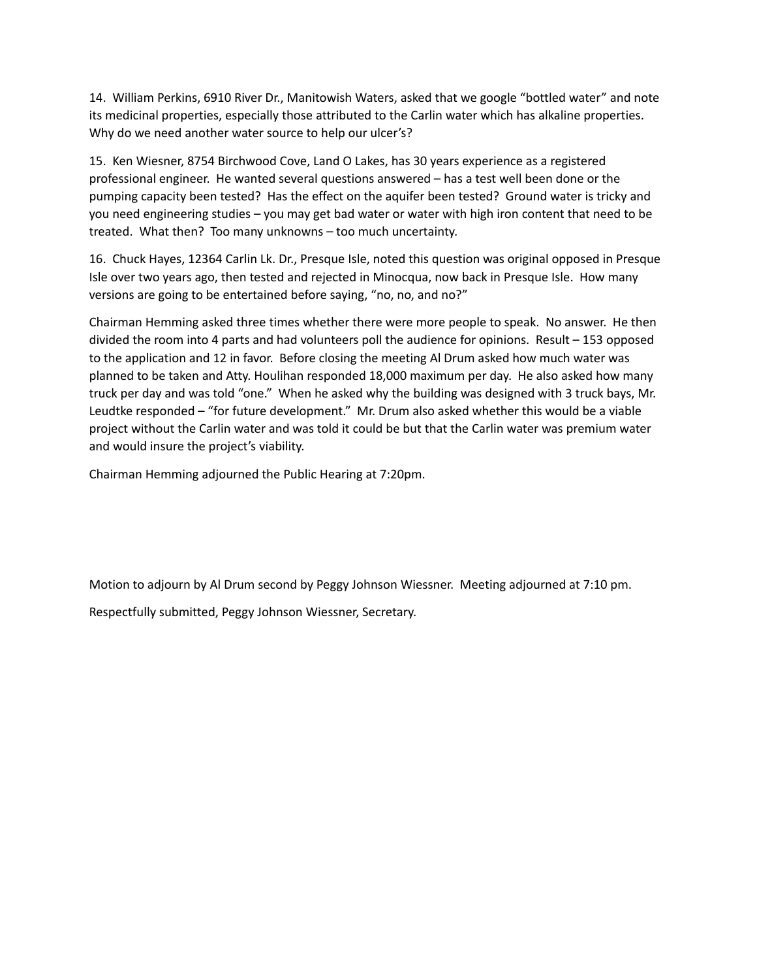14. William Perkins, 6910 River Dr., Manitowish Waters, asked that we google "bottled water" and note its medicinal properties, especially those attributed to the Carlin water which has alkaline properties. Why do we need another water source to help our ulcer's?

15. Ken Wiesner, 8754 Birchwood Cove, Land O Lakes, has 30 years experience as a registered professional engineer. He wanted several questions answered – has a test well been done or the pumping capacity been tested? Has the effect on the aquifer been tested? Ground water is tricky and you need engineering studies – you may get bad water or water with high iron content that need to be treated. What then? Too many unknowns – too much uncertainty.

16. Chuck Hayes, 12364 Carlin Lk. Dr., Presque Isle, noted this question was original opposed in Presque Isle over two years ago, then tested and rejected in Minocqua, now back in Presque Isle. How many versions are going to be entertained before saying, "no, no, and no?"

Chairman Hemming asked three times whether there were more people to speak. No answer. He then divided the room into 4 parts and had volunteers poll the audience for opinions. Result – 153 opposed to the application and 12 in favor. Before closing the meeting Al Drum asked how much water was planned to be taken and Atty. Houlihan responded 18,000 maximum per day. He also asked how many truck per day and was told "one." When he asked why the building was designed with 3 truck bays, Mr. Leudtke responded – "for future development." Mr. Drum also asked whether this would be a viable project without the Carlin water and was told it could be but that the Carlin water was premium water and would insure the project's viability.

Chairman Hemming adjourned the Public Hearing at 7:20pm.

Motion to adjourn by Al Drum second by Peggy Johnson Wiessner. Meeting adjourned at 7:10 pm. Respectfully submitted, Peggy Johnson Wiessner, Secretary.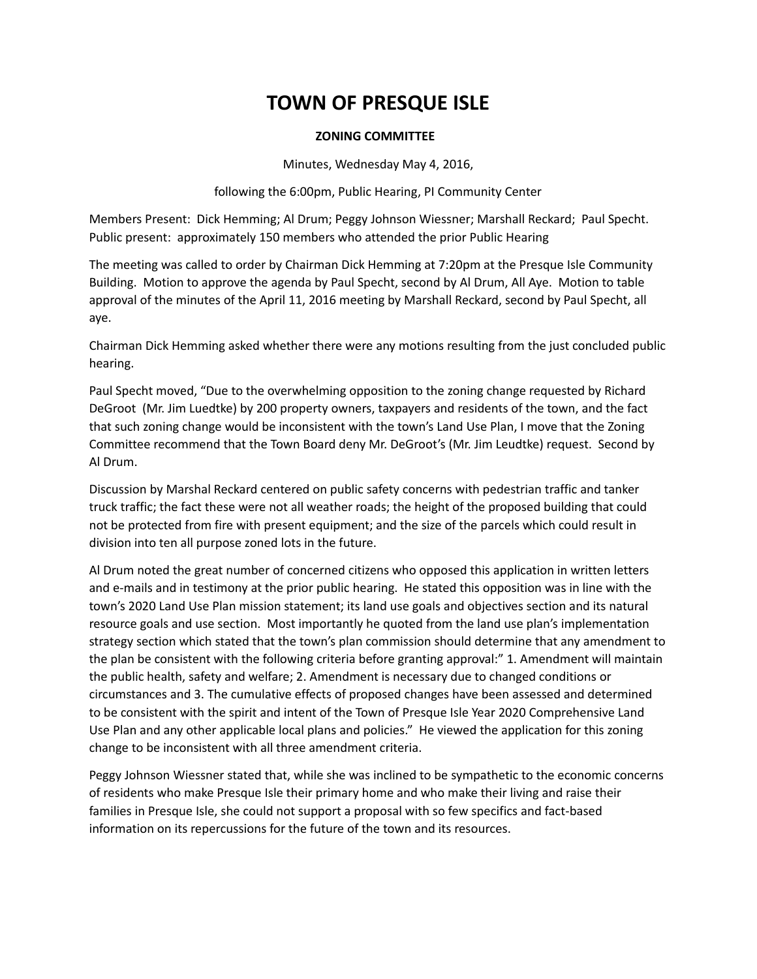#### **ZONING COMMITTEE**

Minutes, Wednesday May 4, 2016,

following the 6:00pm, Public Hearing, PI Community Center

Members Present: Dick Hemming; Al Drum; Peggy Johnson Wiessner; Marshall Reckard; Paul Specht. Public present: approximately 150 members who attended the prior Public Hearing

The meeting was called to order by Chairman Dick Hemming at 7:20pm at the Presque Isle Community Building. Motion to approve the agenda by Paul Specht, second by Al Drum, All Aye. Motion to table approval of the minutes of the April 11, 2016 meeting by Marshall Reckard, second by Paul Specht, all aye.

Chairman Dick Hemming asked whether there were any motions resulting from the just concluded public hearing.

Paul Specht moved, "Due to the overwhelming opposition to the zoning change requested by Richard DeGroot (Mr. Jim Luedtke) by 200 property owners, taxpayers and residents of the town, and the fact that such zoning change would be inconsistent with the town's Land Use Plan, I move that the Zoning Committee recommend that the Town Board deny Mr. DeGroot's (Mr. Jim Leudtke) request. Second by Al Drum.

Discussion by Marshal Reckard centered on public safety concerns with pedestrian traffic and tanker truck traffic; the fact these were not all weather roads; the height of the proposed building that could not be protected from fire with present equipment; and the size of the parcels which could result in division into ten all purpose zoned lots in the future.

Al Drum noted the great number of concerned citizens who opposed this application in written letters and e-mails and in testimony at the prior public hearing. He stated this opposition was in line with the town's 2020 Land Use Plan mission statement; its land use goals and objectives section and its natural resource goals and use section. Most importantly he quoted from the land use plan's implementation strategy section which stated that the town's plan commission should determine that any amendment to the plan be consistent with the following criteria before granting approval:" 1. Amendment will maintain the public health, safety and welfare; 2. Amendment is necessary due to changed conditions or circumstances and 3. The cumulative effects of proposed changes have been assessed and determined to be consistent with the spirit and intent of the Town of Presque Isle Year 2020 Comprehensive Land Use Plan and any other applicable local plans and policies." He viewed the application for this zoning change to be inconsistent with all three amendment criteria.

Peggy Johnson Wiessner stated that, while she was inclined to be sympathetic to the economic concerns of residents who make Presque Isle their primary home and who make their living and raise their families in Presque Isle, she could not support a proposal with so few specifics and fact-based information on its repercussions for the future of the town and its resources.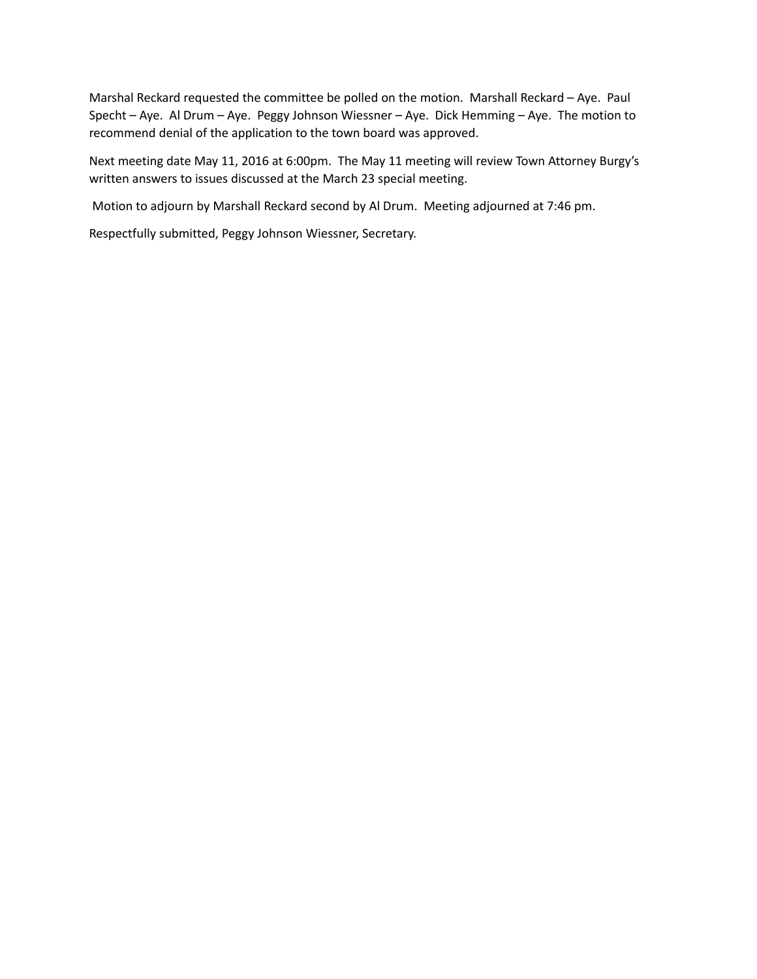Marshal Reckard requested the committee be polled on the motion. Marshall Reckard – Aye. Paul Specht – Aye. Al Drum – Aye. Peggy Johnson Wiessner – Aye. Dick Hemming – Aye. The motion to recommend denial of the application to the town board was approved.

Next meeting date May 11, 2016 at 6:00pm. The May 11 meeting will review Town Attorney Burgy's written answers to issues discussed at the March 23 special meeting.

Motion to adjourn by Marshall Reckard second by Al Drum. Meeting adjourned at 7:46 pm.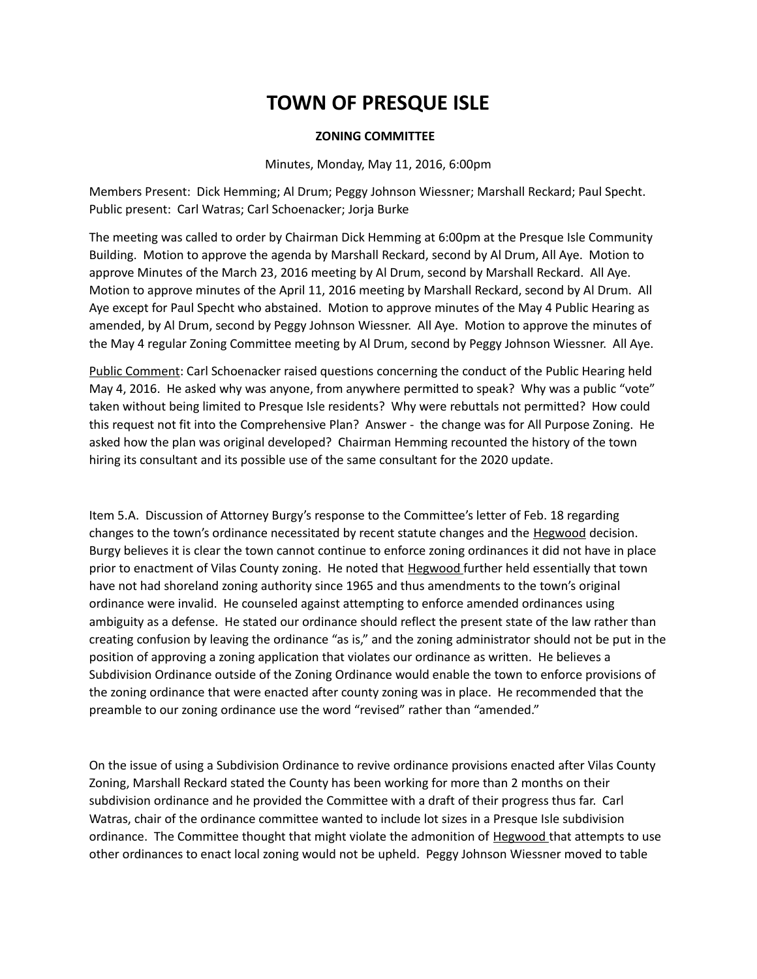#### **ZONING COMMITTEE**

#### Minutes, Monday, May 11, 2016, 6:00pm

Members Present: Dick Hemming; Al Drum; Peggy Johnson Wiessner; Marshall Reckard; Paul Specht. Public present: Carl Watras; Carl Schoenacker; Jorja Burke

The meeting was called to order by Chairman Dick Hemming at 6:00pm at the Presque Isle Community Building. Motion to approve the agenda by Marshall Reckard, second by Al Drum, All Aye. Motion to approve Minutes of the March 23, 2016 meeting by Al Drum, second by Marshall Reckard. All Aye. Motion to approve minutes of the April 11, 2016 meeting by Marshall Reckard, second by Al Drum. All Aye except for Paul Specht who abstained. Motion to approve minutes of the May 4 Public Hearing as amended, by Al Drum, second by Peggy Johnson Wiessner. All Aye. Motion to approve the minutes of the May 4 regular Zoning Committee meeting by Al Drum, second by Peggy Johnson Wiessner. All Aye.

Public Comment: Carl Schoenacker raised questions concerning the conduct of the Public Hearing held May 4, 2016. He asked why was anyone, from anywhere permitted to speak? Why was a public "vote" taken without being limited to Presque Isle residents? Why were rebuttals not permitted? How could this request not fit into the Comprehensive Plan? Answer - the change was for All Purpose Zoning. He asked how the plan was original developed? Chairman Hemming recounted the history of the town hiring its consultant and its possible use of the same consultant for the 2020 update.

Item 5.A. Discussion of Attorney Burgy's response to the Committee's letter of Feb. 18 regarding changes to the town's ordinance necessitated by recent statute changes and the Hegwood decision. Burgy believes it is clear the town cannot continue to enforce zoning ordinances it did not have in place prior to enactment of Vilas County zoning. He noted that **Hegwood** further held essentially that town have not had shoreland zoning authority since 1965 and thus amendments to the town's original ordinance were invalid. He counseled against attempting to enforce amended ordinances using ambiguity as a defense. He stated our ordinance should reflect the present state of the law rather than creating confusion by leaving the ordinance "as is," and the zoning administrator should not be put in the position of approving a zoning application that violates our ordinance as written. He believes a Subdivision Ordinance outside of the Zoning Ordinance would enable the town to enforce provisions of the zoning ordinance that were enacted after county zoning was in place. He recommended that the preamble to our zoning ordinance use the word "revised" rather than "amended."

On the issue of using a Subdivision Ordinance to revive ordinance provisions enacted after Vilas County Zoning, Marshall Reckard stated the County has been working for more than 2 months on their subdivision ordinance and he provided the Committee with a draft of their progress thus far. Carl Watras, chair of the ordinance committee wanted to include lot sizes in a Presque Isle subdivision ordinance. The Committee thought that might violate the admonition of Hegwood that attempts to use other ordinances to enact local zoning would not be upheld. Peggy Johnson Wiessner moved to table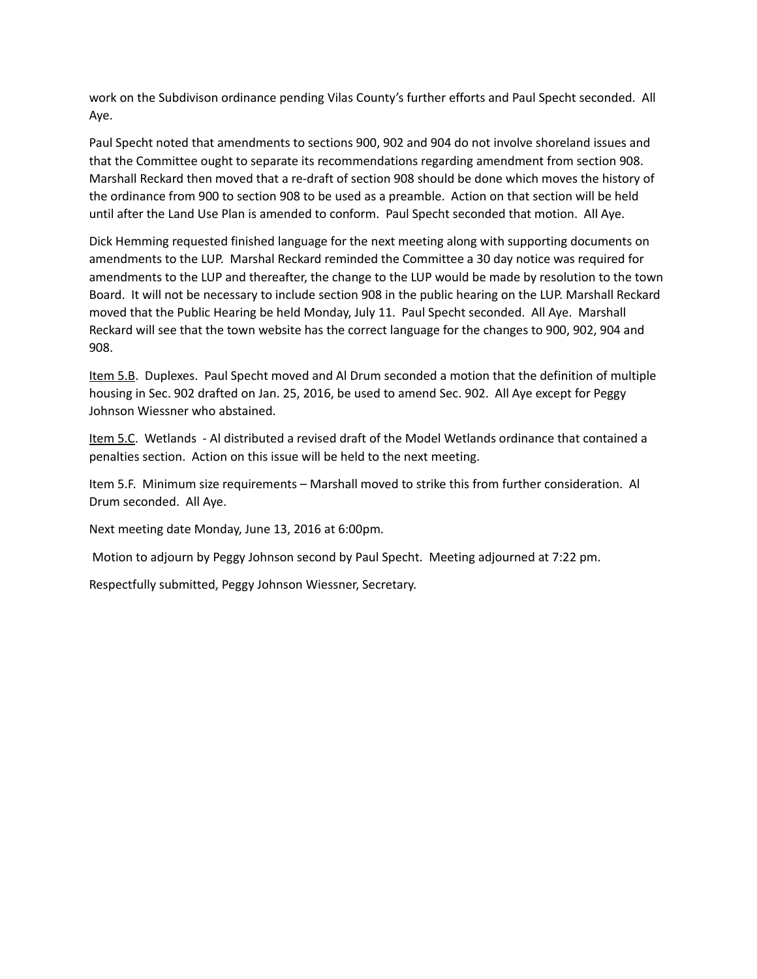work on the Subdivison ordinance pending Vilas County's further efforts and Paul Specht seconded. All Aye.

Paul Specht noted that amendments to sections 900, 902 and 904 do not involve shoreland issues and that the Committee ought to separate its recommendations regarding amendment from section 908. Marshall Reckard then moved that a re-draft of section 908 should be done which moves the history of the ordinance from 900 to section 908 to be used as a preamble. Action on that section will be held until after the Land Use Plan is amended to conform. Paul Specht seconded that motion. All Aye.

Dick Hemming requested finished language for the next meeting along with supporting documents on amendments to the LUP. Marshal Reckard reminded the Committee a 30 day notice was required for amendments to the LUP and thereafter, the change to the LUP would be made by resolution to the town Board. It will not be necessary to include section 908 in the public hearing on the LUP. Marshall Reckard moved that the Public Hearing be held Monday, July 11. Paul Specht seconded. All Aye. Marshall Reckard will see that the town website has the correct language for the changes to 900, 902, 904 and 908.

Item 5.B. Duplexes. Paul Specht moved and Al Drum seconded a motion that the definition of multiple housing in Sec. 902 drafted on Jan. 25, 2016, be used to amend Sec. 902. All Aye except for Peggy Johnson Wiessner who abstained.

Item 5.C. Wetlands - Al distributed a revised draft of the Model Wetlands ordinance that contained a penalties section. Action on this issue will be held to the next meeting.

Item 5.F. Minimum size requirements – Marshall moved to strike this from further consideration. Al Drum seconded. All Aye.

Next meeting date Monday, June 13, 2016 at 6:00pm.

Motion to adjourn by Peggy Johnson second by Paul Specht. Meeting adjourned at 7:22 pm.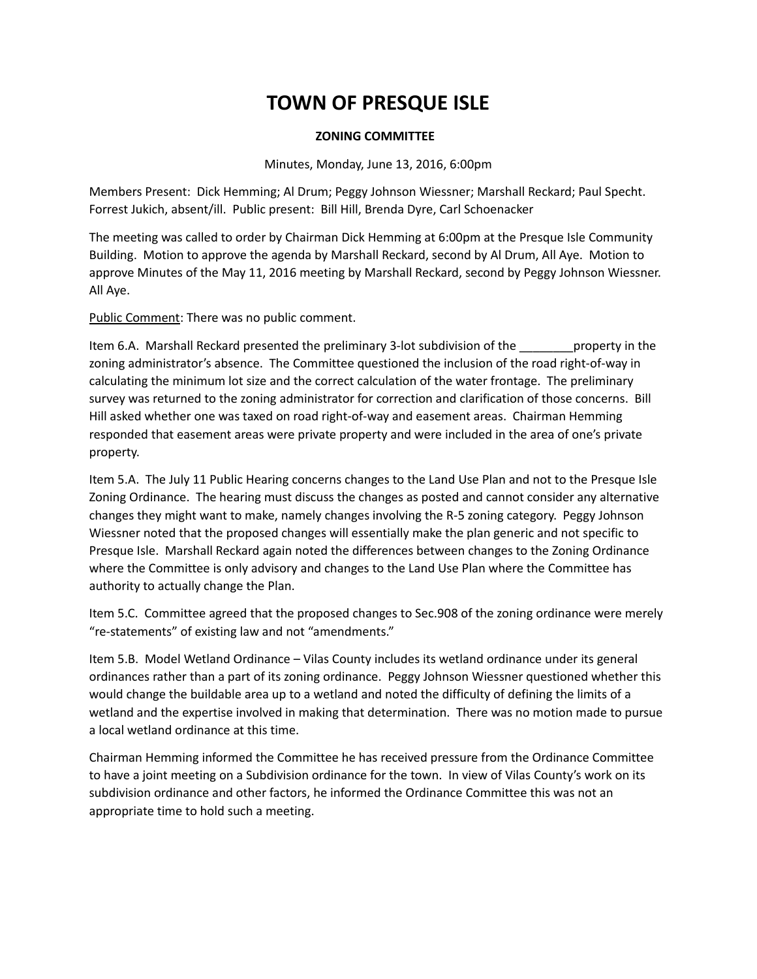### **ZONING COMMITTEE**

#### Minutes, Monday, June 13, 2016, 6:00pm

Members Present: Dick Hemming; Al Drum; Peggy Johnson Wiessner; Marshall Reckard; Paul Specht. Forrest Jukich, absent/ill. Public present: Bill Hill, Brenda Dyre, Carl Schoenacker

The meeting was called to order by Chairman Dick Hemming at 6:00pm at the Presque Isle Community Building. Motion to approve the agenda by Marshall Reckard, second by Al Drum, All Aye. Motion to approve Minutes of the May 11, 2016 meeting by Marshall Reckard, second by Peggy Johnson Wiessner. All Aye.

Public Comment: There was no public comment.

Item 6.A. Marshall Reckard presented the preliminary 3-lot subdivision of the \_\_\_\_\_\_\_\_\_property in the zoning administrator's absence. The Committee questioned the inclusion of the road right-of-way in calculating the minimum lot size and the correct calculation of the water frontage. The preliminary survey was returned to the zoning administrator for correction and clarification of those concerns. Bill Hill asked whether one was taxed on road right-of-way and easement areas. Chairman Hemming responded that easement areas were private property and were included in the area of one's private property.

Item 5.A. The July 11 Public Hearing concerns changes to the Land Use Plan and not to the Presque Isle Zoning Ordinance. The hearing must discuss the changes as posted and cannot consider any alternative changes they might want to make, namely changes involving the R-5 zoning category. Peggy Johnson Wiessner noted that the proposed changes will essentially make the plan generic and not specific to Presque Isle. Marshall Reckard again noted the differences between changes to the Zoning Ordinance where the Committee is only advisory and changes to the Land Use Plan where the Committee has authority to actually change the Plan.

Item 5.C. Committee agreed that the proposed changes to Sec.908 of the zoning ordinance were merely "re-statements" of existing law and not "amendments."

Item 5.B. Model Wetland Ordinance – Vilas County includes its wetland ordinance under its general ordinances rather than a part of its zoning ordinance. Peggy Johnson Wiessner questioned whether this would change the buildable area up to a wetland and noted the difficulty of defining the limits of a wetland and the expertise involved in making that determination. There was no motion made to pursue a local wetland ordinance at this time.

Chairman Hemming informed the Committee he has received pressure from the Ordinance Committee to have a joint meeting on a Subdivision ordinance for the town. In view of Vilas County's work on its subdivision ordinance and other factors, he informed the Ordinance Committee this was not an appropriate time to hold such a meeting.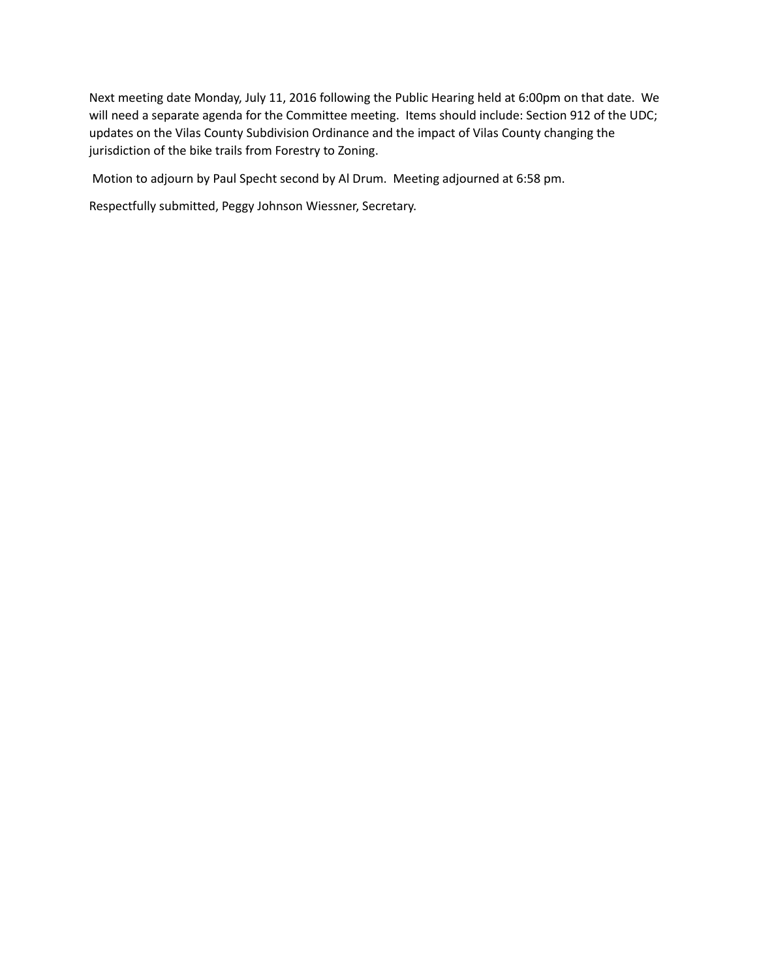Next meeting date Monday, July 11, 2016 following the Public Hearing held at 6:00pm on that date. We will need a separate agenda for the Committee meeting. Items should include: Section 912 of the UDC; updates on the Vilas County Subdivision Ordinance and the impact of Vilas County changing the jurisdiction of the bike trails from Forestry to Zoning.

Motion to adjourn by Paul Specht second by Al Drum. Meeting adjourned at 6:58 pm.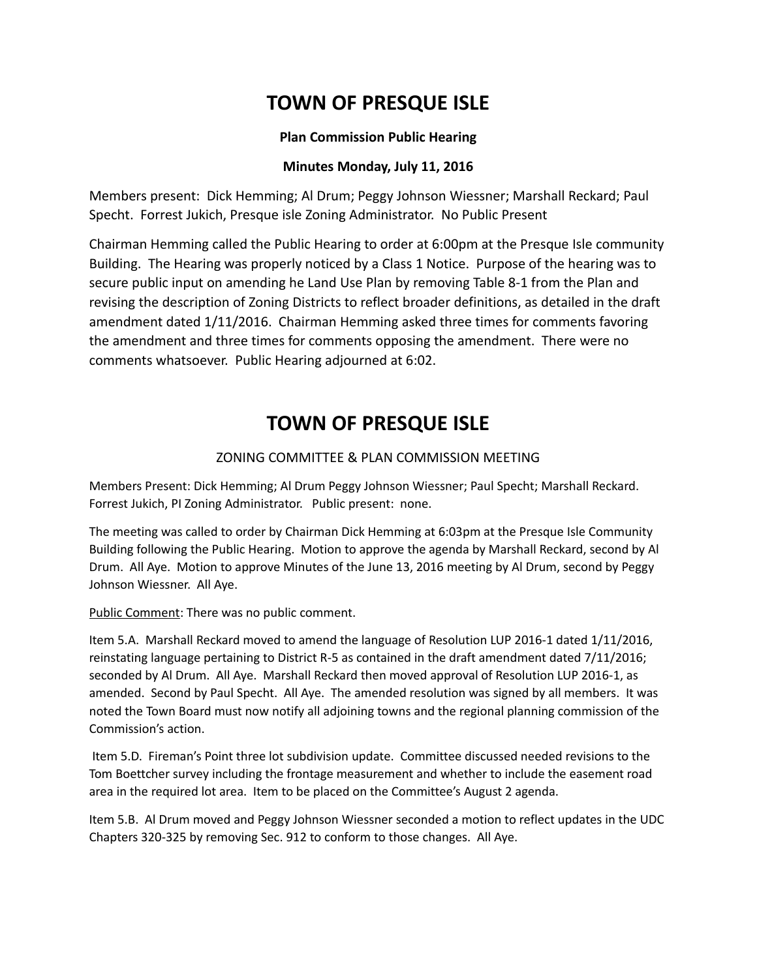### **Plan Commission Public Hearing**

## **Minutes Monday, July 11, 2016**

Members present: Dick Hemming; Al Drum; Peggy Johnson Wiessner; Marshall Reckard; Paul Specht. Forrest Jukich, Presque isle Zoning Administrator. No Public Present

Chairman Hemming called the Public Hearing to order at 6:00pm at the Presque Isle community Building. The Hearing was properly noticed by a Class 1 Notice. Purpose of the hearing was to secure public input on amending he Land Use Plan by removing Table 8-1 from the Plan and revising the description of Zoning Districts to reflect broader definitions, as detailed in the draft amendment dated 1/11/2016. Chairman Hemming asked three times for comments favoring the amendment and three times for comments opposing the amendment. There were no comments whatsoever. Public Hearing adjourned at 6:02.

# **TOWN OF PRESQUE ISLE**

## ZONING COMMITTEE & PLAN COMMISSION MEETING

Members Present: Dick Hemming; Al Drum Peggy Johnson Wiessner; Paul Specht; Marshall Reckard. Forrest Jukich, PI Zoning Administrator. Public present: none.

The meeting was called to order by Chairman Dick Hemming at 6:03pm at the Presque Isle Community Building following the Public Hearing. Motion to approve the agenda by Marshall Reckard, second by Al Drum. All Aye. Motion to approve Minutes of the June 13, 2016 meeting by Al Drum, second by Peggy Johnson Wiessner. All Aye.

Public Comment: There was no public comment.

Item 5.A. Marshall Reckard moved to amend the language of Resolution LUP 2016-1 dated 1/11/2016, reinstating language pertaining to District R-5 as contained in the draft amendment dated 7/11/2016; seconded by Al Drum. All Aye. Marshall Reckard then moved approval of Resolution LUP 2016-1, as amended. Second by Paul Specht. All Aye. The amended resolution was signed by all members. It was noted the Town Board must now notify all adjoining towns and the regional planning commission of the Commission's action.

 Item 5.D. Fireman's Point three lot subdivision update. Committee discussed needed revisions to the Tom Boettcher survey including the frontage measurement and whether to include the easement road area in the required lot area. Item to be placed on the Committee's August 2 agenda.

Item 5.B. Al Drum moved and Peggy Johnson Wiessner seconded a motion to reflect updates in the UDC Chapters 320-325 by removing Sec. 912 to conform to those changes. All Aye.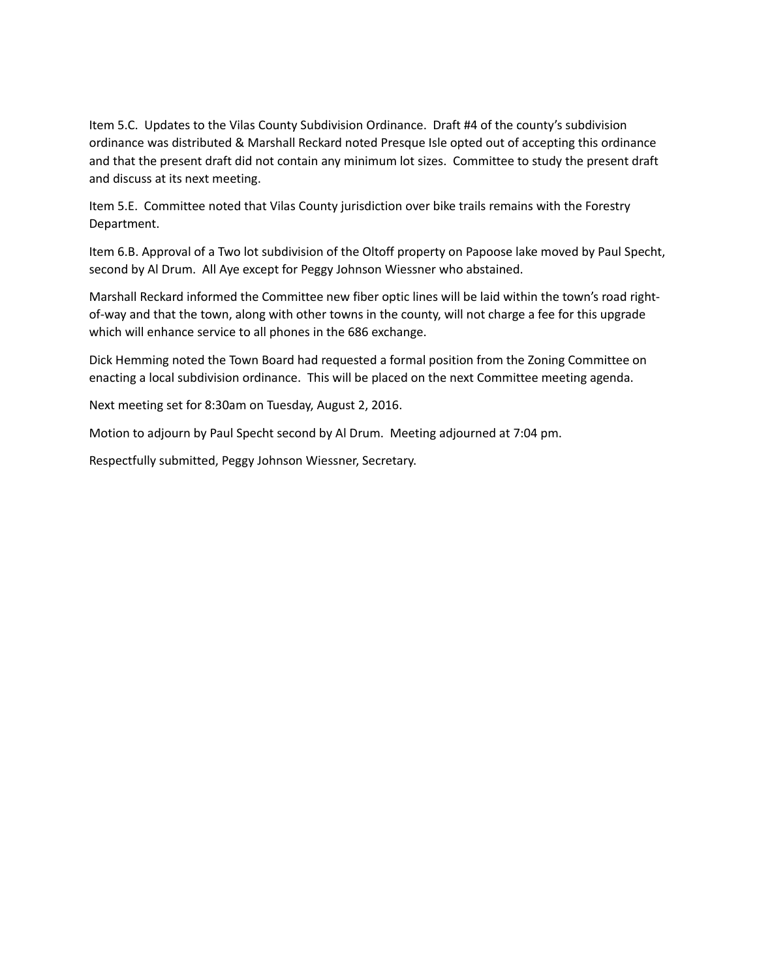Item 5.C. Updates to the Vilas County Subdivision Ordinance. Draft #4 of the county's subdivision ordinance was distributed & Marshall Reckard noted Presque Isle opted out of accepting this ordinance and that the present draft did not contain any minimum lot sizes. Committee to study the present draft and discuss at its next meeting.

Item 5.E. Committee noted that Vilas County jurisdiction over bike trails remains with the Forestry Department.

Item 6.B. Approval of a Two lot subdivision of the Oltoff property on Papoose lake moved by Paul Specht, second by Al Drum. All Aye except for Peggy Johnson Wiessner who abstained.

Marshall Reckard informed the Committee new fiber optic lines will be laid within the town's road rightof-way and that the town, along with other towns in the county, will not charge a fee for this upgrade which will enhance service to all phones in the 686 exchange.

Dick Hemming noted the Town Board had requested a formal position from the Zoning Committee on enacting a local subdivision ordinance. This will be placed on the next Committee meeting agenda.

Next meeting set for 8:30am on Tuesday, August 2, 2016.

Motion to adjourn by Paul Specht second by Al Drum. Meeting adjourned at 7:04 pm.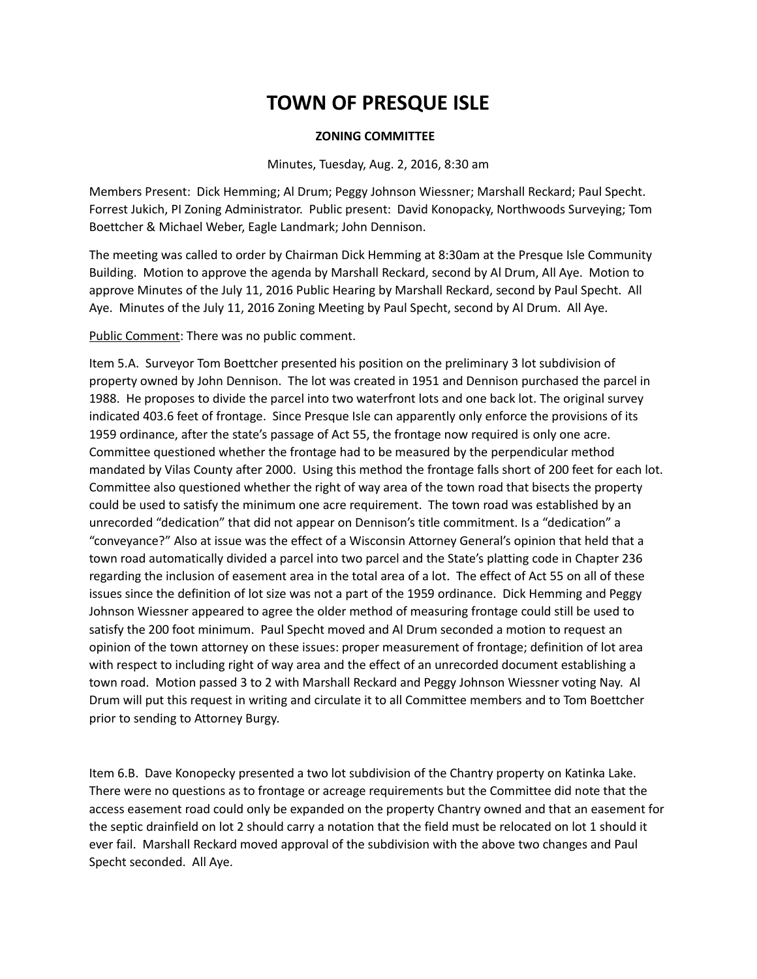### **ZONING COMMITTEE**

Minutes, Tuesday, Aug. 2, 2016, 8:30 am

Members Present: Dick Hemming; Al Drum; Peggy Johnson Wiessner; Marshall Reckard; Paul Specht. Forrest Jukich, PI Zoning Administrator. Public present: David Konopacky, Northwoods Surveying; Tom Boettcher & Michael Weber, Eagle Landmark; John Dennison.

The meeting was called to order by Chairman Dick Hemming at 8:30am at the Presque Isle Community Building. Motion to approve the agenda by Marshall Reckard, second by Al Drum, All Aye. Motion to approve Minutes of the July 11, 2016 Public Hearing by Marshall Reckard, second by Paul Specht. All Aye. Minutes of the July 11, 2016 Zoning Meeting by Paul Specht, second by Al Drum. All Aye.

Public Comment: There was no public comment.

Item 5.A. Surveyor Tom Boettcher presented his position on the preliminary 3 lot subdivision of property owned by John Dennison. The lot was created in 1951 and Dennison purchased the parcel in 1988. He proposes to divide the parcel into two waterfront lots and one back lot. The original survey indicated 403.6 feet of frontage. Since Presque Isle can apparently only enforce the provisions of its 1959 ordinance, after the state's passage of Act 55, the frontage now required is only one acre. Committee questioned whether the frontage had to be measured by the perpendicular method mandated by Vilas County after 2000. Using this method the frontage falls short of 200 feet for each lot. Committee also questioned whether the right of way area of the town road that bisects the property could be used to satisfy the minimum one acre requirement. The town road was established by an unrecorded "dedication" that did not appear on Dennison's title commitment. Is a "dedication" a "conveyance?" Also at issue was the effect of a Wisconsin Attorney General's opinion that held that a town road automatically divided a parcel into two parcel and the State's platting code in Chapter 236 regarding the inclusion of easement area in the total area of a lot. The effect of Act 55 on all of these issues since the definition of lot size was not a part of the 1959 ordinance. Dick Hemming and Peggy Johnson Wiessner appeared to agree the older method of measuring frontage could still be used to satisfy the 200 foot minimum. Paul Specht moved and Al Drum seconded a motion to request an opinion of the town attorney on these issues: proper measurement of frontage; definition of lot area with respect to including right of way area and the effect of an unrecorded document establishing a town road. Motion passed 3 to 2 with Marshall Reckard and Peggy Johnson Wiessner voting Nay. Al Drum will put this request in writing and circulate it to all Committee members and to Tom Boettcher prior to sending to Attorney Burgy.

Item 6.B. Dave Konopecky presented a two lot subdivision of the Chantry property on Katinka Lake. There were no questions as to frontage or acreage requirements but the Committee did note that the access easement road could only be expanded on the property Chantry owned and that an easement for the septic drainfield on lot 2 should carry a notation that the field must be relocated on lot 1 should it ever fail. Marshall Reckard moved approval of the subdivision with the above two changes and Paul Specht seconded. All Aye.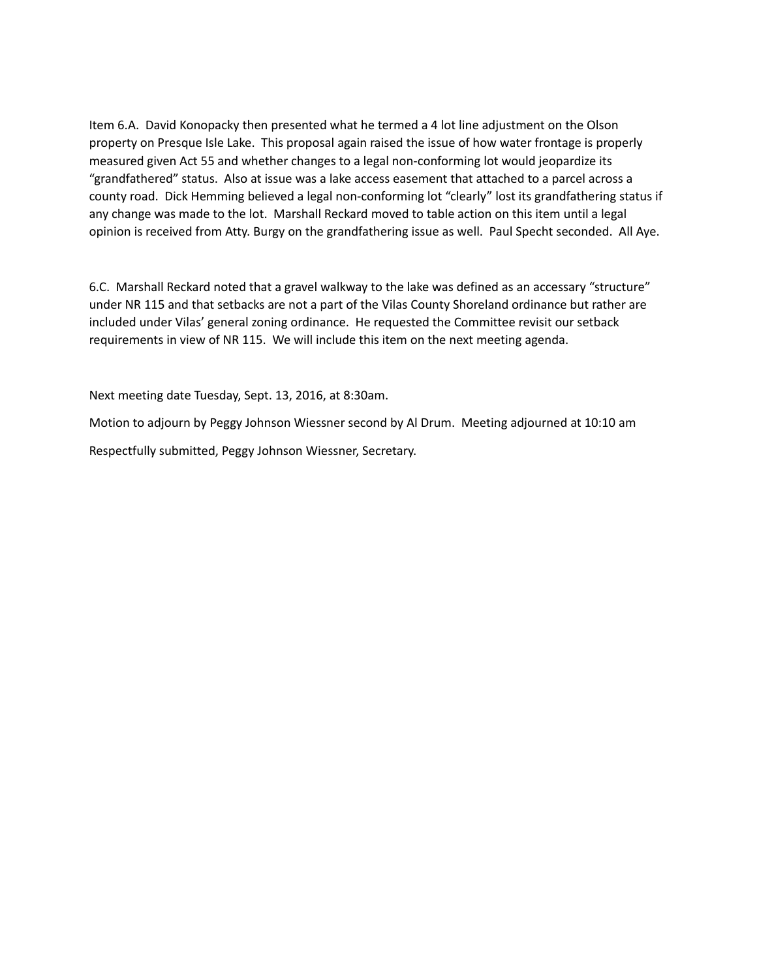Item 6.A. David Konopacky then presented what he termed a 4 lot line adjustment on the Olson property on Presque Isle Lake. This proposal again raised the issue of how water frontage is properly measured given Act 55 and whether changes to a legal non-conforming lot would jeopardize its "grandfathered" status. Also at issue was a lake access easement that attached to a parcel across a county road. Dick Hemming believed a legal non-conforming lot "clearly" lost its grandfathering status if any change was made to the lot. Marshall Reckard moved to table action on this item until a legal opinion is received from Atty. Burgy on the grandfathering issue as well. Paul Specht seconded. All Aye.

6.C. Marshall Reckard noted that a gravel walkway to the lake was defined as an accessary "structure" under NR 115 and that setbacks are not a part of the Vilas County Shoreland ordinance but rather are included under Vilas' general zoning ordinance. He requested the Committee revisit our setback requirements in view of NR 115. We will include this item on the next meeting agenda.

Next meeting date Tuesday, Sept. 13, 2016, at 8:30am.

Motion to adjourn by Peggy Johnson Wiessner second by Al Drum. Meeting adjourned at 10:10 am Respectfully submitted, Peggy Johnson Wiessner, Secretary.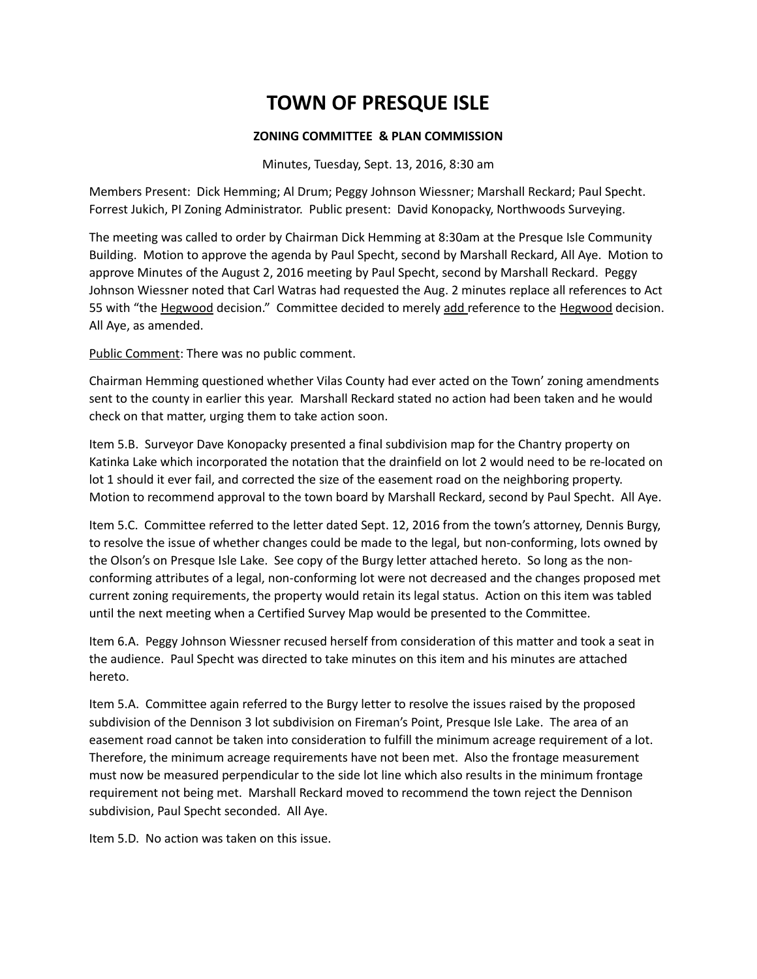### **ZONING COMMITTEE & PLAN COMMISSION**

Minutes, Tuesday, Sept. 13, 2016, 8:30 am

Members Present: Dick Hemming; Al Drum; Peggy Johnson Wiessner; Marshall Reckard; Paul Specht. Forrest Jukich, PI Zoning Administrator. Public present: David Konopacky, Northwoods Surveying.

The meeting was called to order by Chairman Dick Hemming at 8:30am at the Presque Isle Community Building. Motion to approve the agenda by Paul Specht, second by Marshall Reckard, All Aye. Motion to approve Minutes of the August 2, 2016 meeting by Paul Specht, second by Marshall Reckard. Peggy Johnson Wiessner noted that Carl Watras had requested the Aug. 2 minutes replace all references to Act 55 with "the Hegwood decision." Committee decided to merely add reference to the Hegwood decision. All Aye, as amended.

Public Comment: There was no public comment.

Chairman Hemming questioned whether Vilas County had ever acted on the Town' zoning amendments sent to the county in earlier this year. Marshall Reckard stated no action had been taken and he would check on that matter, urging them to take action soon.

Item 5.B. Surveyor Dave Konopacky presented a final subdivision map for the Chantry property on Katinka Lake which incorporated the notation that the drainfield on lot 2 would need to be re-located on lot 1 should it ever fail, and corrected the size of the easement road on the neighboring property. Motion to recommend approval to the town board by Marshall Reckard, second by Paul Specht. All Aye.

Item 5.C. Committee referred to the letter dated Sept. 12, 2016 from the town's attorney, Dennis Burgy, to resolve the issue of whether changes could be made to the legal, but non-conforming, lots owned by the Olson's on Presque Isle Lake. See copy of the Burgy letter attached hereto. So long as the nonconforming attributes of a legal, non-conforming lot were not decreased and the changes proposed met current zoning requirements, the property would retain its legal status. Action on this item was tabled until the next meeting when a Certified Survey Map would be presented to the Committee.

Item 6.A. Peggy Johnson Wiessner recused herself from consideration of this matter and took a seat in the audience. Paul Specht was directed to take minutes on this item and his minutes are attached hereto.

Item 5.A. Committee again referred to the Burgy letter to resolve the issues raised by the proposed subdivision of the Dennison 3 lot subdivision on Fireman's Point, Presque Isle Lake. The area of an easement road cannot be taken into consideration to fulfill the minimum acreage requirement of a lot. Therefore, the minimum acreage requirements have not been met. Also the frontage measurement must now be measured perpendicular to the side lot line which also results in the minimum frontage requirement not being met. Marshall Reckard moved to recommend the town reject the Dennison subdivision, Paul Specht seconded. All Aye.

Item 5.D. No action was taken on this issue.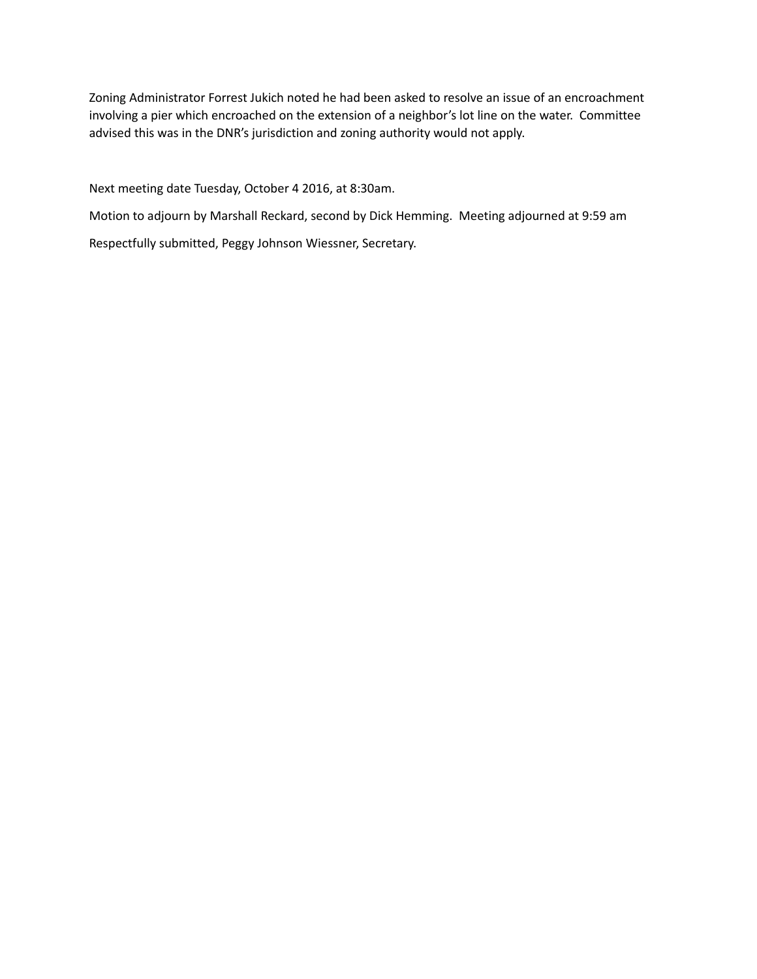Zoning Administrator Forrest Jukich noted he had been asked to resolve an issue of an encroachment involving a pier which encroached on the extension of a neighbor's lot line on the water. Committee advised this was in the DNR's jurisdiction and zoning authority would not apply.

Next meeting date Tuesday, October 4 2016, at 8:30am.

Motion to adjourn by Marshall Reckard, second by Dick Hemming. Meeting adjourned at 9:59 am Respectfully submitted, Peggy Johnson Wiessner, Secretary.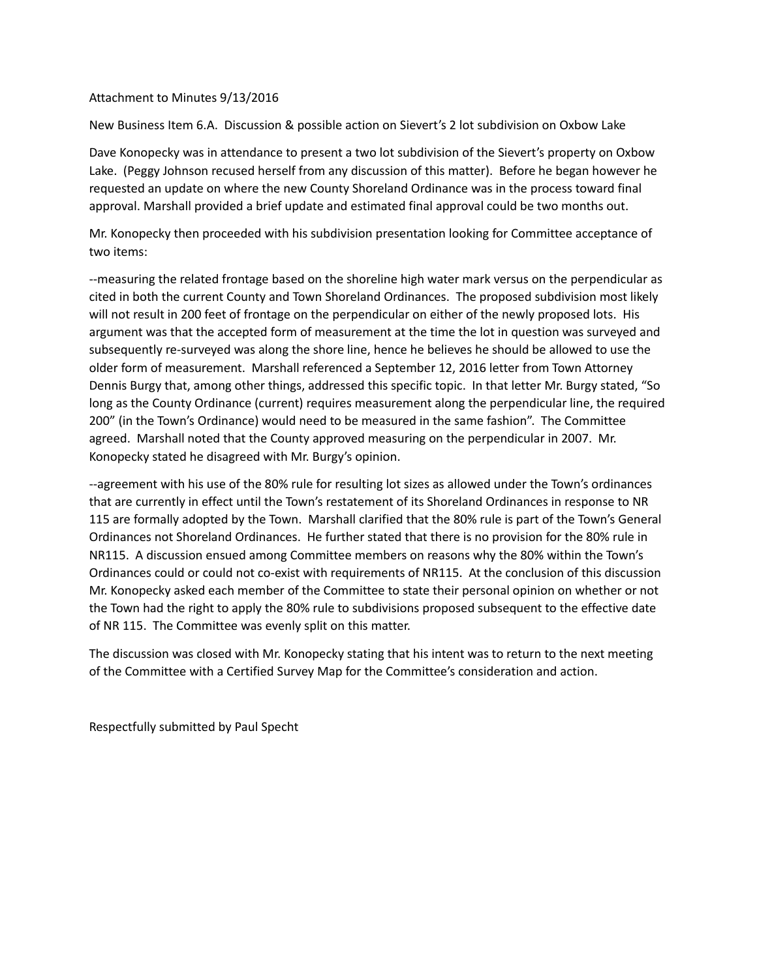#### Attachment to Minutes 9/13/2016

New Business Item 6.A. Discussion & possible action on Sievert's 2 lot subdivision on Oxbow Lake

Dave Konopecky was in attendance to present a two lot subdivision of the Sievert's property on Oxbow Lake. (Peggy Johnson recused herself from any discussion of this matter). Before he began however he requested an update on where the new County Shoreland Ordinance was in the process toward final approval. Marshall provided a brief update and estimated final approval could be two months out.

Mr. Konopecky then proceeded with his subdivision presentation looking for Committee acceptance of two items:

--measuring the related frontage based on the shoreline high water mark versus on the perpendicular as cited in both the current County and Town Shoreland Ordinances. The proposed subdivision most likely will not result in 200 feet of frontage on the perpendicular on either of the newly proposed lots. His argument was that the accepted form of measurement at the time the lot in question was surveyed and subsequently re-surveyed was along the shore line, hence he believes he should be allowed to use the older form of measurement. Marshall referenced a September 12, 2016 letter from Town Attorney Dennis Burgy that, among other things, addressed this specific topic. In that letter Mr. Burgy stated, "So long as the County Ordinance (current) requires measurement along the perpendicular line, the required 200" (in the Town's Ordinance) would need to be measured in the same fashion". The Committee agreed. Marshall noted that the County approved measuring on the perpendicular in 2007. Mr. Konopecky stated he disagreed with Mr. Burgy's opinion.

--agreement with his use of the 80% rule for resulting lot sizes as allowed under the Town's ordinances that are currently in effect until the Town's restatement of its Shoreland Ordinances in response to NR 115 are formally adopted by the Town. Marshall clarified that the 80% rule is part of the Town's General Ordinances not Shoreland Ordinances. He further stated that there is no provision for the 80% rule in NR115. A discussion ensued among Committee members on reasons why the 80% within the Town's Ordinances could or could not co-exist with requirements of NR115. At the conclusion of this discussion Mr. Konopecky asked each member of the Committee to state their personal opinion on whether or not the Town had the right to apply the 80% rule to subdivisions proposed subsequent to the effective date of NR 115. The Committee was evenly split on this matter.

The discussion was closed with Mr. Konopecky stating that his intent was to return to the next meeting of the Committee with a Certified Survey Map for the Committee's consideration and action.

Respectfully submitted by Paul Specht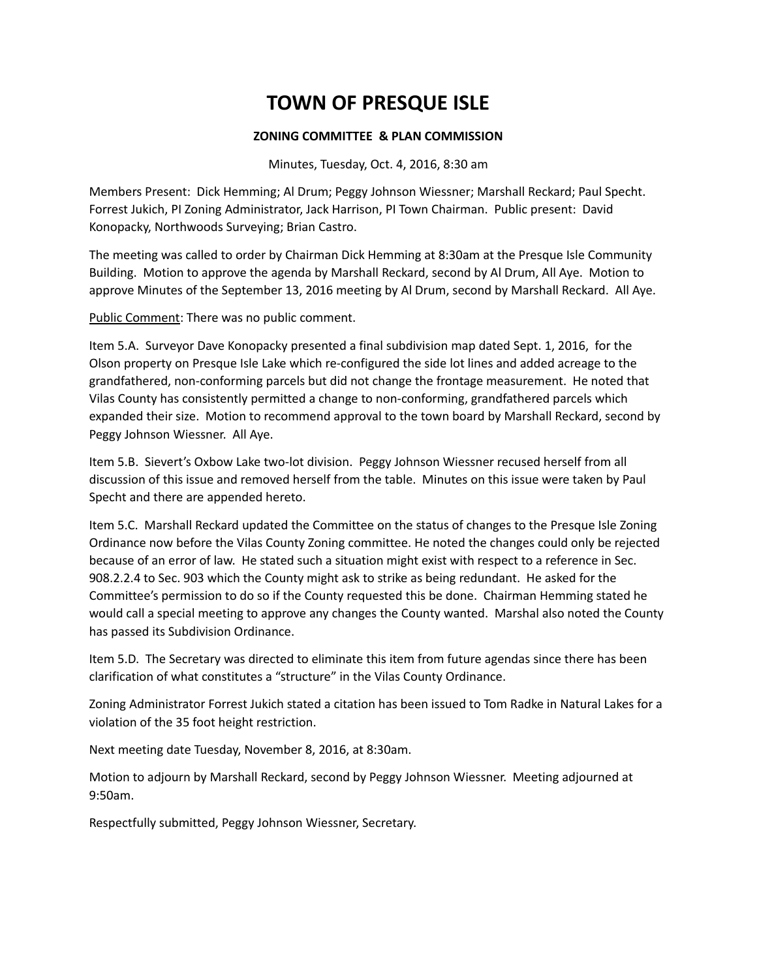### **ZONING COMMITTEE & PLAN COMMISSION**

Minutes, Tuesday, Oct. 4, 2016, 8:30 am

Members Present: Dick Hemming; Al Drum; Peggy Johnson Wiessner; Marshall Reckard; Paul Specht. Forrest Jukich, PI Zoning Administrator, Jack Harrison, PI Town Chairman. Public present: David Konopacky, Northwoods Surveying; Brian Castro.

The meeting was called to order by Chairman Dick Hemming at 8:30am at the Presque Isle Community Building. Motion to approve the agenda by Marshall Reckard, second by Al Drum, All Aye. Motion to approve Minutes of the September 13, 2016 meeting by Al Drum, second by Marshall Reckard. All Aye.

Public Comment: There was no public comment.

Item 5.A. Surveyor Dave Konopacky presented a final subdivision map dated Sept. 1, 2016, for the Olson property on Presque Isle Lake which re-configured the side lot lines and added acreage to the grandfathered, non-conforming parcels but did not change the frontage measurement. He noted that Vilas County has consistently permitted a change to non-conforming, grandfathered parcels which expanded their size. Motion to recommend approval to the town board by Marshall Reckard, second by Peggy Johnson Wiessner. All Aye.

Item 5.B. Sievert's Oxbow Lake two-lot division. Peggy Johnson Wiessner recused herself from all discussion of this issue and removed herself from the table. Minutes on this issue were taken by Paul Specht and there are appended hereto.

Item 5.C. Marshall Reckard updated the Committee on the status of changes to the Presque Isle Zoning Ordinance now before the Vilas County Zoning committee. He noted the changes could only be rejected because of an error of law. He stated such a situation might exist with respect to a reference in Sec. 908.2.2.4 to Sec. 903 which the County might ask to strike as being redundant. He asked for the Committee's permission to do so if the County requested this be done. Chairman Hemming stated he would call a special meeting to approve any changes the County wanted. Marshal also noted the County has passed its Subdivision Ordinance.

Item 5.D. The Secretary was directed to eliminate this item from future agendas since there has been clarification of what constitutes a "structure" in the Vilas County Ordinance.

Zoning Administrator Forrest Jukich stated a citation has been issued to Tom Radke in Natural Lakes for a violation of the 35 foot height restriction.

Next meeting date Tuesday, November 8, 2016, at 8:30am.

Motion to adjourn by Marshall Reckard, second by Peggy Johnson Wiessner. Meeting adjourned at 9:50am.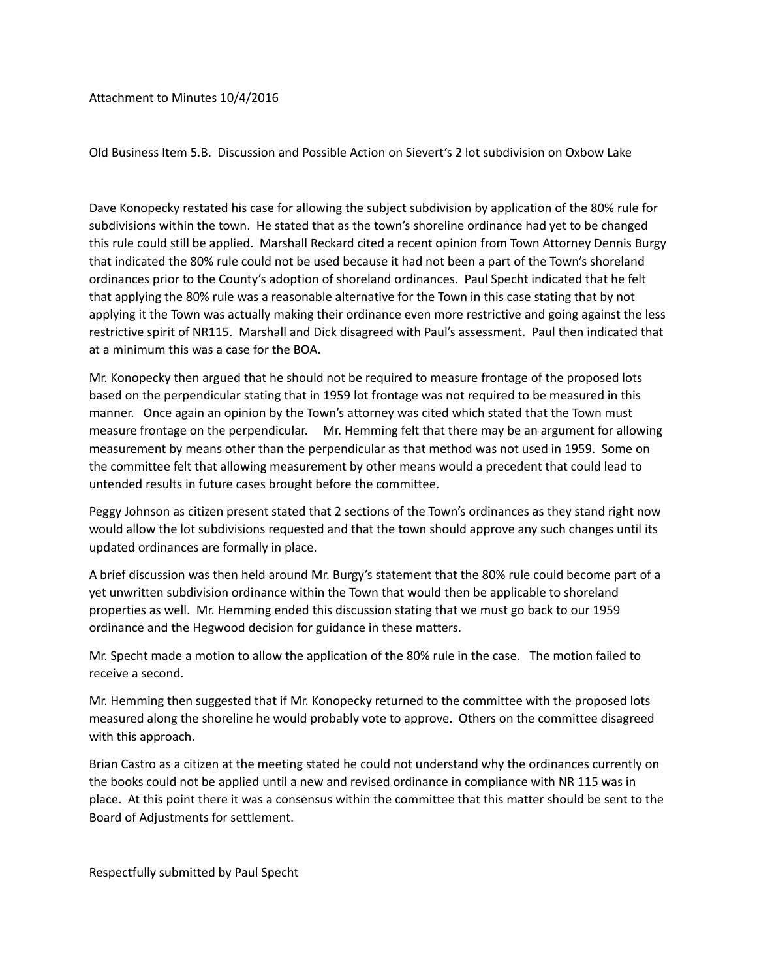Attachment to Minutes 10/4/2016

Old Business Item 5.B. Discussion and Possible Action on Sievert's 2 lot subdivision on Oxbow Lake

Dave Konopecky restated his case for allowing the subject subdivision by application of the 80% rule for subdivisions within the town. He stated that as the town's shoreline ordinance had yet to be changed this rule could still be applied. Marshall Reckard cited a recent opinion from Town Attorney Dennis Burgy that indicated the 80% rule could not be used because it had not been a part of the Town's shoreland ordinances prior to the County's adoption of shoreland ordinances. Paul Specht indicated that he felt that applying the 80% rule was a reasonable alternative for the Town in this case stating that by not applying it the Town was actually making their ordinance even more restrictive and going against the less restrictive spirit of NR115. Marshall and Dick disagreed with Paul's assessment. Paul then indicated that at a minimum this was a case for the BOA.

Mr. Konopecky then argued that he should not be required to measure frontage of the proposed lots based on the perpendicular stating that in 1959 lot frontage was not required to be measured in this manner. Once again an opinion by the Town's attorney was cited which stated that the Town must measure frontage on the perpendicular. Mr. Hemming felt that there may be an argument for allowing measurement by means other than the perpendicular as that method was not used in 1959. Some on the committee felt that allowing measurement by other means would a precedent that could lead to untended results in future cases brought before the committee.

Peggy Johnson as citizen present stated that 2 sections of the Town's ordinances as they stand right now would allow the lot subdivisions requested and that the town should approve any such changes until its updated ordinances are formally in place.

A brief discussion was then held around Mr. Burgy's statement that the 80% rule could become part of a yet unwritten subdivision ordinance within the Town that would then be applicable to shoreland properties as well. Mr. Hemming ended this discussion stating that we must go back to our 1959 ordinance and the Hegwood decision for guidance in these matters.

Mr. Specht made a motion to allow the application of the 80% rule in the case. The motion failed to receive a second.

Mr. Hemming then suggested that if Mr. Konopecky returned to the committee with the proposed lots measured along the shoreline he would probably vote to approve. Others on the committee disagreed with this approach.

Brian Castro as a citizen at the meeting stated he could not understand why the ordinances currently on the books could not be applied until a new and revised ordinance in compliance with NR 115 was in place. At this point there it was a consensus within the committee that this matter should be sent to the Board of Adjustments for settlement.

Respectfully submitted by Paul Specht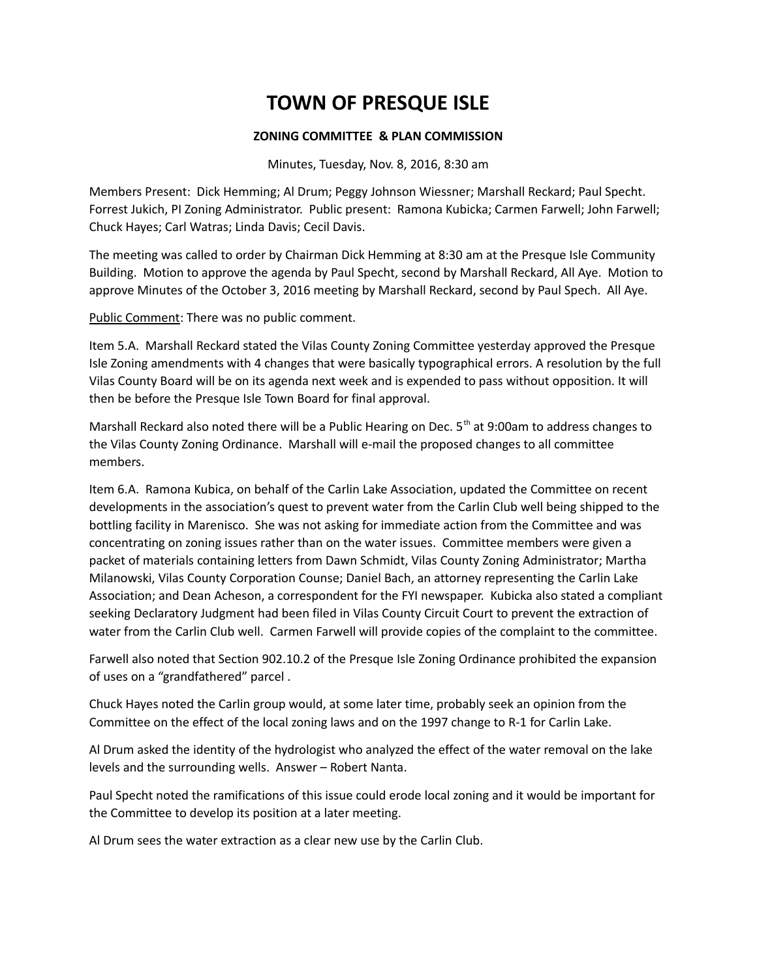### **ZONING COMMITTEE & PLAN COMMISSION**

Minutes, Tuesday, Nov. 8, 2016, 8:30 am

Members Present: Dick Hemming; Al Drum; Peggy Johnson Wiessner; Marshall Reckard; Paul Specht. Forrest Jukich, PI Zoning Administrator. Public present: Ramona Kubicka; Carmen Farwell; John Farwell; Chuck Hayes; Carl Watras; Linda Davis; Cecil Davis.

The meeting was called to order by Chairman Dick Hemming at 8:30 am at the Presque Isle Community Building. Motion to approve the agenda by Paul Specht, second by Marshall Reckard, All Aye. Motion to approve Minutes of the October 3, 2016 meeting by Marshall Reckard, second by Paul Spech. All Aye.

Public Comment: There was no public comment.

Item 5.A. Marshall Reckard stated the Vilas County Zoning Committee yesterday approved the Presque Isle Zoning amendments with 4 changes that were basically typographical errors. A resolution by the full Vilas County Board will be on its agenda next week and is expended to pass without opposition. It will then be before the Presque Isle Town Board for final approval.

Marshall Reckard also noted there will be a Public Hearing on Dec. 5<sup>th</sup> at 9:00am to address changes to the Vilas County Zoning Ordinance. Marshall will e-mail the proposed changes to all committee members.

Item 6.A. Ramona Kubica, on behalf of the Carlin Lake Association, updated the Committee on recent developments in the association's quest to prevent water from the Carlin Club well being shipped to the bottling facility in Marenisco. She was not asking for immediate action from the Committee and was concentrating on zoning issues rather than on the water issues. Committee members were given a packet of materials containing letters from Dawn Schmidt, Vilas County Zoning Administrator; Martha Milanowski, Vilas County Corporation Counse; Daniel Bach, an attorney representing the Carlin Lake Association; and Dean Acheson, a correspondent for the FYI newspaper. Kubicka also stated a compliant seeking Declaratory Judgment had been filed in Vilas County Circuit Court to prevent the extraction of water from the Carlin Club well. Carmen Farwell will provide copies of the complaint to the committee.

Farwell also noted that Section 902.10.2 of the Presque Isle Zoning Ordinance prohibited the expansion of uses on a "grandfathered" parcel .

Chuck Hayes noted the Carlin group would, at some later time, probably seek an opinion from the Committee on the effect of the local zoning laws and on the 1997 change to R-1 for Carlin Lake.

Al Drum asked the identity of the hydrologist who analyzed the effect of the water removal on the lake levels and the surrounding wells. Answer – Robert Nanta.

Paul Specht noted the ramifications of this issue could erode local zoning and it would be important for the Committee to develop its position at a later meeting.

Al Drum sees the water extraction as a clear new use by the Carlin Club.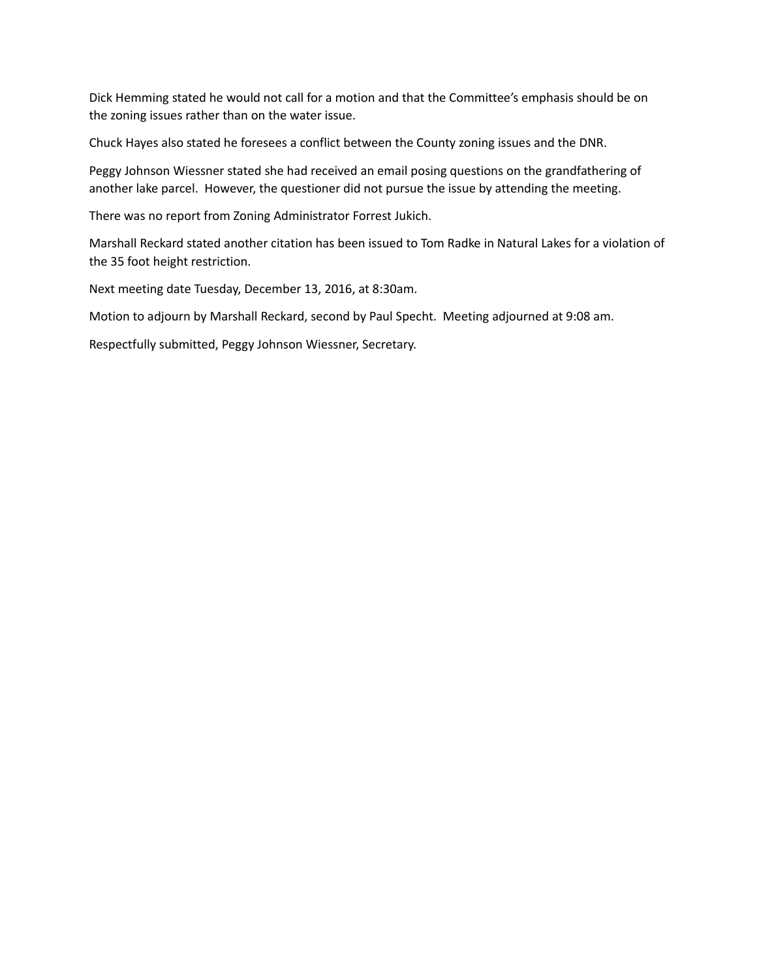Dick Hemming stated he would not call for a motion and that the Committee's emphasis should be on the zoning issues rather than on the water issue.

Chuck Hayes also stated he foresees a conflict between the County zoning issues and the DNR.

Peggy Johnson Wiessner stated she had received an email posing questions on the grandfathering of another lake parcel. However, the questioner did not pursue the issue by attending the meeting.

There was no report from Zoning Administrator Forrest Jukich.

Marshall Reckard stated another citation has been issued to Tom Radke in Natural Lakes for a violation of the 35 foot height restriction.

Next meeting date Tuesday, December 13, 2016, at 8:30am.

Motion to adjourn by Marshall Reckard, second by Paul Specht. Meeting adjourned at 9:08 am.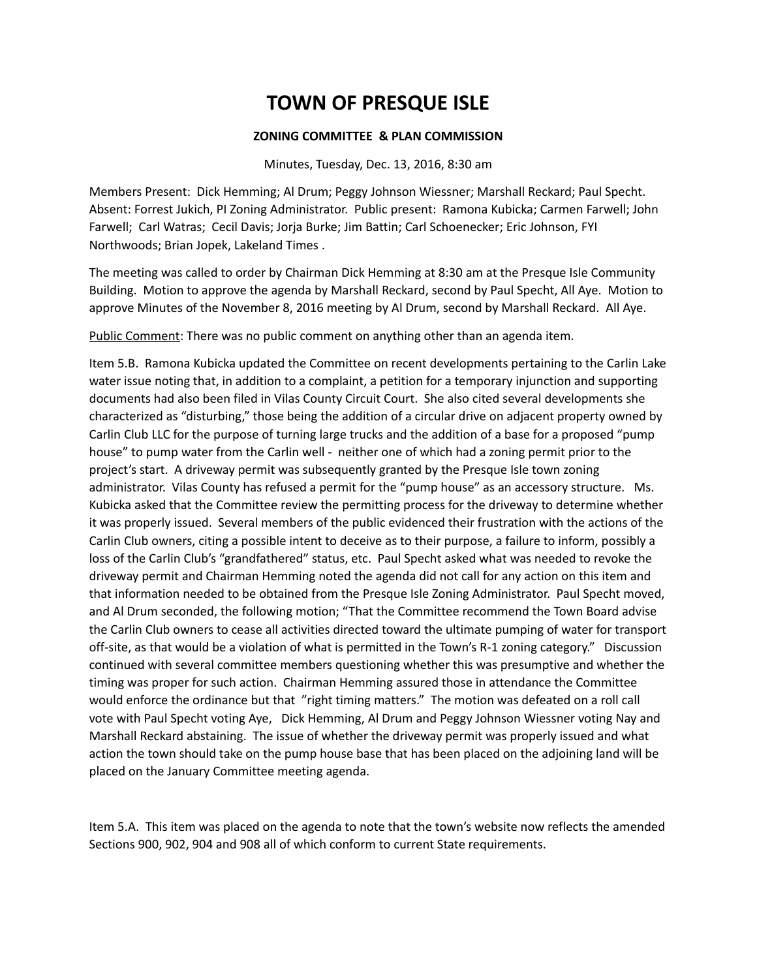### **ZONING COMMITTEE & PLAN COMMISSION**

Minutes, Tuesday, Dec. 13, 2016, 8:30 am

Members Present: Dick Hemming; Al Drum; Peggy Johnson Wiessner; Marshall Reckard; Paul Specht. Absent: Forrest Jukich, PI Zoning Administrator. Public present: Ramona Kubicka; Carmen Farwell; John Farwell; Carl Watras; Cecil Davis; Jorja Burke; Jim Battin; Carl Schoenecker; Eric Johnson, FYI Northwoods; Brian Jopek, Lakeland Times .

The meeting was called to order by Chairman Dick Hemming at 8:30 am at the Presque Isle Community Building. Motion to approve the agenda by Marshall Reckard, second by Paul Specht, All Aye. Motion to approve Minutes of the November 8, 2016 meeting by Al Drum, second by Marshall Reckard. All Aye.

Public Comment: There was no public comment on anything other than an agenda item.

Item 5.B. Ramona Kubicka updated the Committee on recent developments pertaining to the Carlin Lake water issue noting that, in addition to a complaint, a petition for a temporary injunction and supporting documents had also been filed in Vilas County Circuit Court. She also cited several developments she characterized as "disturbing," those being the addition of a circular drive on adjacent property owned by Carlin Club LLC for the purpose of turning large trucks and the addition of a base for a proposed "pump house" to pump water from the Carlin well - neither one of which had a zoning permit prior to the project's start. A driveway permit was subsequently granted by the Presque Isle town zoning administrator. Vilas County has refused a permit for the "pump house" as an accessory structure. Ms. Kubicka asked that the Committee review the permitting process for the driveway to determine whether it was properly issued. Several members of the public evidenced their frustration with the actions of the Carlin Club owners, citing a possible intent to deceive as to their purpose, a failure to inform, possibly a loss of the Carlin Club's "grandfathered" status, etc. Paul Specht asked what was needed to revoke the driveway permit and Chairman Hemming noted the agenda did not call for any action on this item and that information needed to be obtained from the Presque Isle Zoning Administrator. Paul Specht moved, and Al Drum seconded, the following motion; "That the Committee recommend the Town Board advise the Carlin Club owners to cease all activities directed toward the ultimate pumping of water for transport off-site, as that would be a violation of what is permitted in the Town's R-1 zoning category." Discussion continued with several committee members questioning whether this was presumptive and whether the timing was proper for such action. Chairman Hemming assured those in attendance the Committee would enforce the ordinance but that "right timing matters." The motion was defeated on a roll call vote with Paul Specht voting Aye, Dick Hemming, Al Drum and Peggy Johnson Wiessner voting Nay and Marshall Reckard abstaining. The issue of whether the driveway permit was properly issued and what action the town should take on the pump house base that has been placed on the adjoining land will be placed on the January Committee meeting agenda.

Item 5.A. This item was placed on the agenda to note that the town's website now reflects the amended Sections 900, 902, 904 and 908 all of which conform to current State requirements.